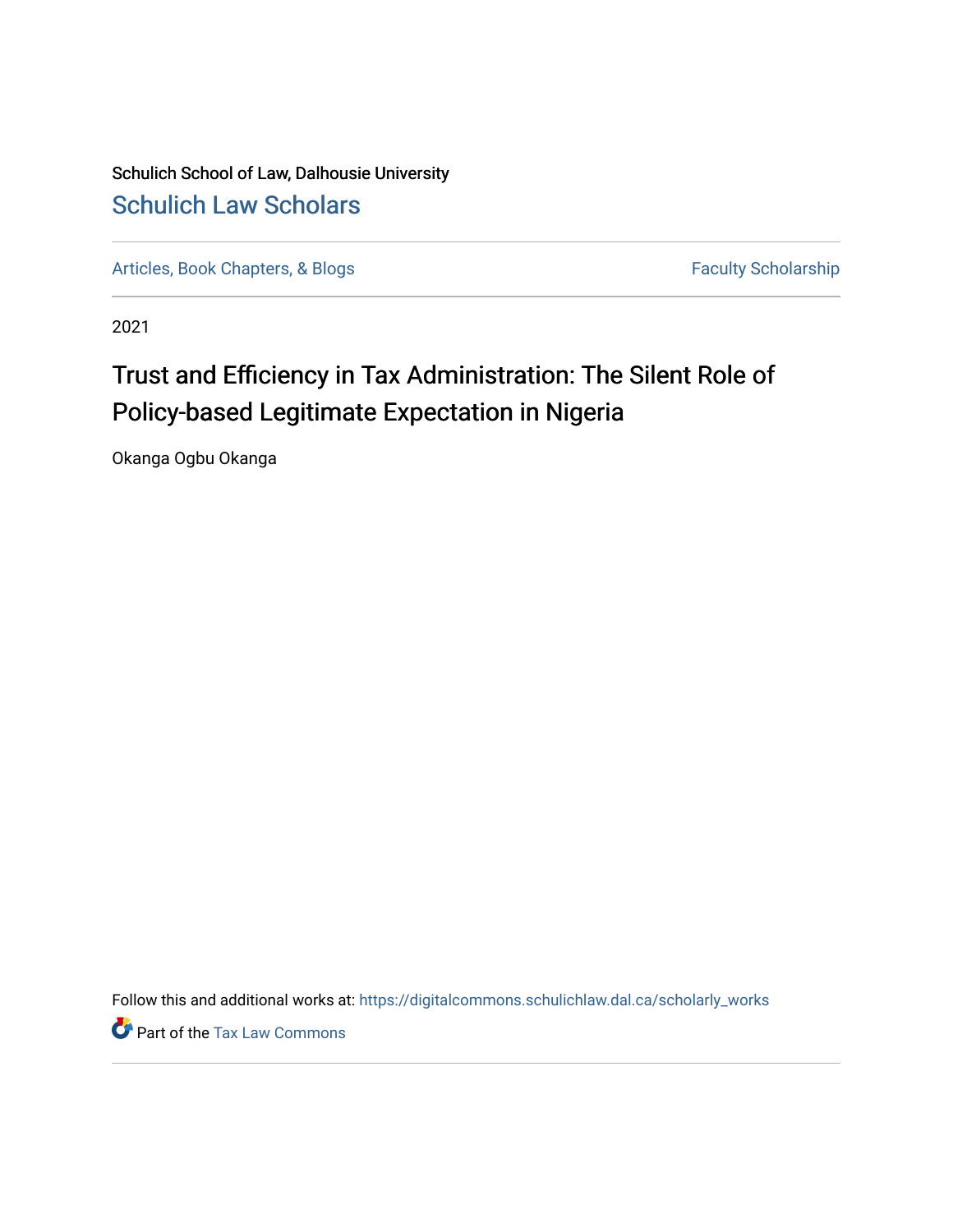Schulich School of Law, Dalhousie University [Schulich Law Scholars](https://digitalcommons.schulichlaw.dal.ca/) 

[Articles, Book Chapters, & Blogs](https://digitalcommons.schulichlaw.dal.ca/scholarly_works) Faculty Scholarship

2021

# Trust and Efficiency in Tax Administration: The Silent Role of Policy-based Legitimate Expectation in Nigeria

Okanga Ogbu Okanga

Follow this and additional works at: [https://digitalcommons.schulichlaw.dal.ca/scholarly\\_works](https://digitalcommons.schulichlaw.dal.ca/scholarly_works?utm_source=digitalcommons.schulichlaw.dal.ca%2Fscholarly_works%2F627&utm_medium=PDF&utm_campaign=PDFCoverPages) 

**P** Part of the [Tax Law Commons](http://network.bepress.com/hgg/discipline/898?utm_source=digitalcommons.schulichlaw.dal.ca%2Fscholarly_works%2F627&utm_medium=PDF&utm_campaign=PDFCoverPages)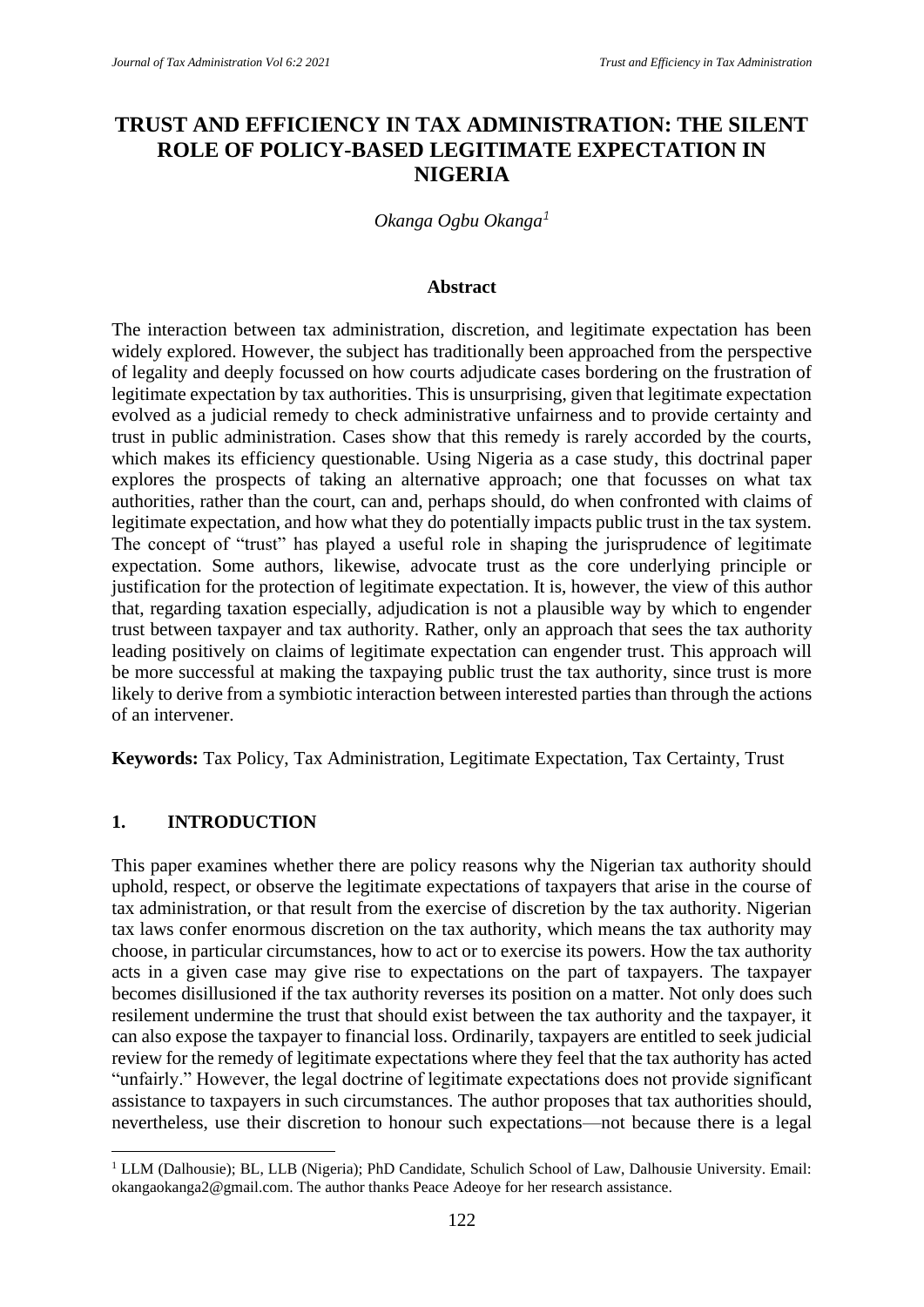## **TRUST AND EFFICIENCY IN TAX ADMINISTRATION: THE SILENT ROLE OF POLICY-BASED LEGITIMATE EXPECTATION IN NIGERIA**

*Okanga Ogbu Okanga<sup>1</sup>*

#### **Abstract**

The interaction between tax administration, discretion, and legitimate expectation has been widely explored. However, the subject has traditionally been approached from the perspective of legality and deeply focussed on how courts adjudicate cases bordering on the frustration of legitimate expectation by tax authorities. This is unsurprising, given that legitimate expectation evolved as a judicial remedy to check administrative unfairness and to provide certainty and trust in public administration. Cases show that this remedy is rarely accorded by the courts, which makes its efficiency questionable. Using Nigeria as a case study, this doctrinal paper explores the prospects of taking an alternative approach; one that focusses on what tax authorities, rather than the court, can and, perhaps should, do when confronted with claims of legitimate expectation, and how what they do potentially impacts public trust in the tax system. The concept of "trust" has played a useful role in shaping the jurisprudence of legitimate expectation. Some authors, likewise, advocate trust as the core underlying principle or justification for the protection of legitimate expectation. It is, however, the view of this author that, regarding taxation especially, adjudication is not a plausible way by which to engender trust between taxpayer and tax authority. Rather, only an approach that sees the tax authority leading positively on claims of legitimate expectation can engender trust. This approach will be more successful at making the taxpaying public trust the tax authority, since trust is more likely to derive from a symbiotic interaction between interested parties than through the actions of an intervener.

**Keywords:** Tax Policy, Tax Administration, Legitimate Expectation, Tax Certainty, Trust

#### **1. INTRODUCTION**

This paper examines whether there are policy reasons why the Nigerian tax authority should uphold, respect, or observe the legitimate expectations of taxpayers that arise in the course of tax administration, or that result from the exercise of discretion by the tax authority. Nigerian tax laws confer enormous discretion on the tax authority, which means the tax authority may choose, in particular circumstances, how to act or to exercise its powers. How the tax authority acts in a given case may give rise to expectations on the part of taxpayers. The taxpayer becomes disillusioned if the tax authority reverses its position on a matter. Not only does such resilement undermine the trust that should exist between the tax authority and the taxpayer, it can also expose the taxpayer to financial loss. Ordinarily, taxpayers are entitled to seek judicial review for the remedy of legitimate expectations where they feel that the tax authority has acted "unfairly." However, the legal doctrine of legitimate expectations does not provide significant assistance to taxpayers in such circumstances. The author proposes that tax authorities should, nevertheless, use their discretion to honour such expectations—not because there is a legal

<sup>&</sup>lt;sup>1</sup> LLM (Dalhousie); BL, LLB (Nigeria); PhD Candidate, Schulich School of Law, Dalhousie University. Email: okangaokanga2@gmail.com. The author thanks Peace Adeoye for her research assistance.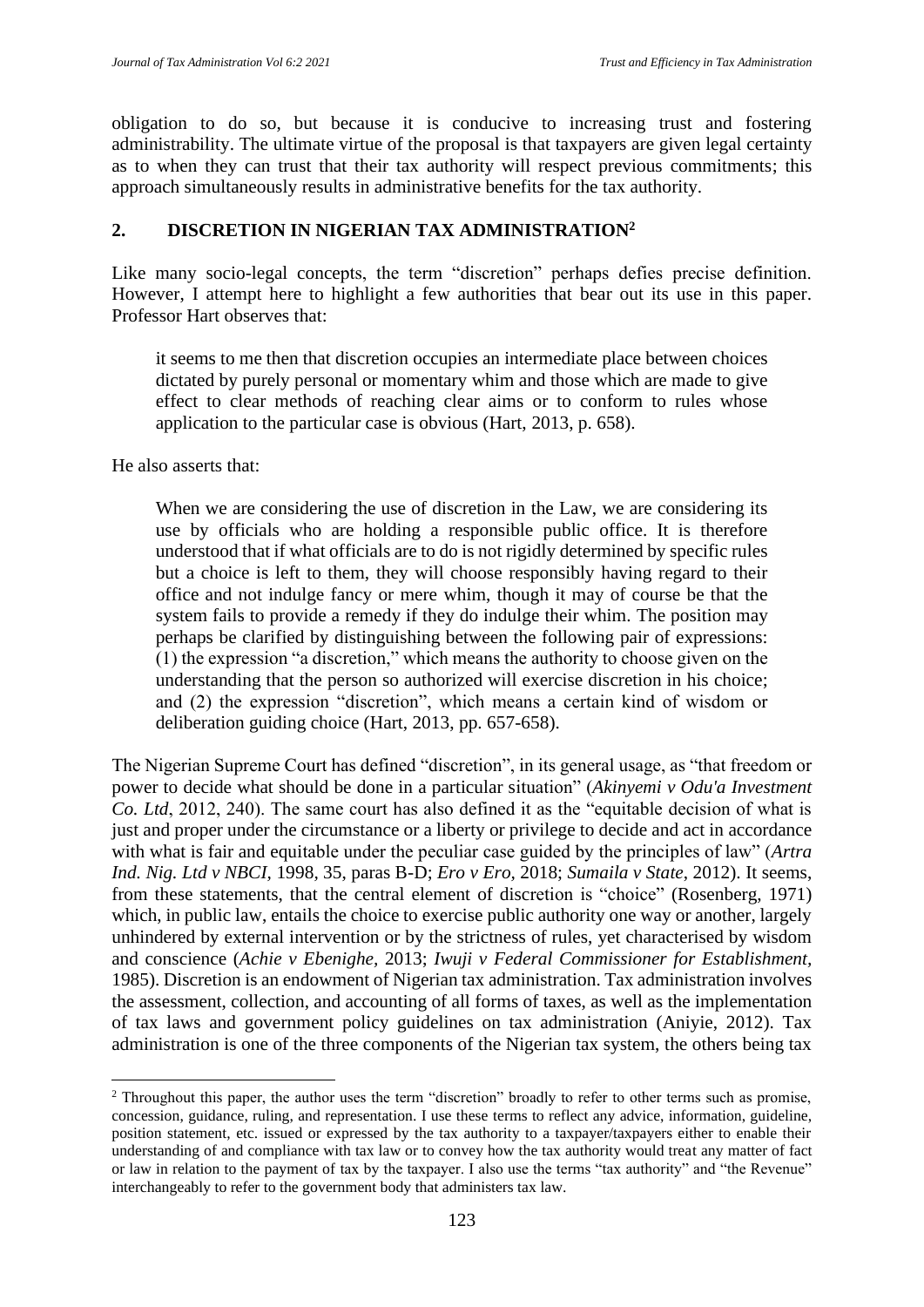obligation to do so, but because it is conducive to increasing trust and fostering administrability. The ultimate virtue of the proposal is that taxpayers are given legal certainty as to when they can trust that their tax authority will respect previous commitments; this approach simultaneously results in administrative benefits for the tax authority.

## **2. DISCRETION IN NIGERIAN TAX ADMINISTRATION<sup>2</sup>**

Like many socio-legal concepts, the term "discretion" perhaps defies precise definition. However, I attempt here to highlight a few authorities that bear out its use in this paper. Professor Hart observes that:

it seems to me then that discretion occupies an intermediate place between choices dictated by purely personal or momentary whim and those which are made to give effect to clear methods of reaching clear aims or to conform to rules whose application to the particular case is obvious (Hart, 2013, p. 658).

He also asserts that:

When we are considering the use of discretion in the Law, we are considering its use by officials who are holding a responsible public office. It is therefore understood that if what officials are to do is not rigidly determined by specific rules but a choice is left to them, they will choose responsibly having regard to their office and not indulge fancy or mere whim, though it may of course be that the system fails to provide a remedy if they do indulge their whim. The position may perhaps be clarified by distinguishing between the following pair of expressions: (1) the expression "a discretion," which means the authority to choose given on the understanding that the person so authorized will exercise discretion in his choice; and (2) the expression "discretion", which means a certain kind of wisdom or deliberation guiding choice (Hart, 2013, pp. 657-658).

The Nigerian Supreme Court has defined "discretion", in its general usage, as "that freedom or power to decide what should be done in a particular situation" (*Akinyemi v Odu'a Investment Co. Ltd*, 2012, 240). The same court has also defined it as the "equitable decision of what is just and proper under the circumstance or a liberty or privilege to decide and act in accordance with what is fair and equitable under the peculiar case guided by the principles of law" (*Artra Ind. Nig. Ltd v NBCI,* 1998*,* 35, paras B-D; *Ero v Ero,* 2018; *Sumaila v State*, 2012). It seems, from these statements, that the central element of discretion is "choice" (Rosenberg, 1971) which, in public law, entails the choice to exercise public authority one way or another, largely unhindered by external intervention or by the strictness of rules, yet characterised by wisdom and conscience (*Achie v Ebenighe,* 2013; *Iwuji v Federal Commissioner for Establishment,*  1985). Discretion is an endowment of Nigerian tax administration. Tax administration involves the assessment, collection, and accounting of all forms of taxes, as well as the implementation of tax laws and government policy guidelines on tax administration (Aniyie, 2012). Tax administration is one of the three components of the Nigerian tax system, the others being tax

<sup>&</sup>lt;sup>2</sup> Throughout this paper, the author uses the term "discretion" broadly to refer to other terms such as promise, concession, guidance, ruling, and representation. I use these terms to reflect any advice, information, guideline, position statement, etc. issued or expressed by the tax authority to a taxpayer/taxpayers either to enable their understanding of and compliance with tax law or to convey how the tax authority would treat any matter of fact or law in relation to the payment of tax by the taxpayer. I also use the terms "tax authority" and "the Revenue" interchangeably to refer to the government body that administers tax law.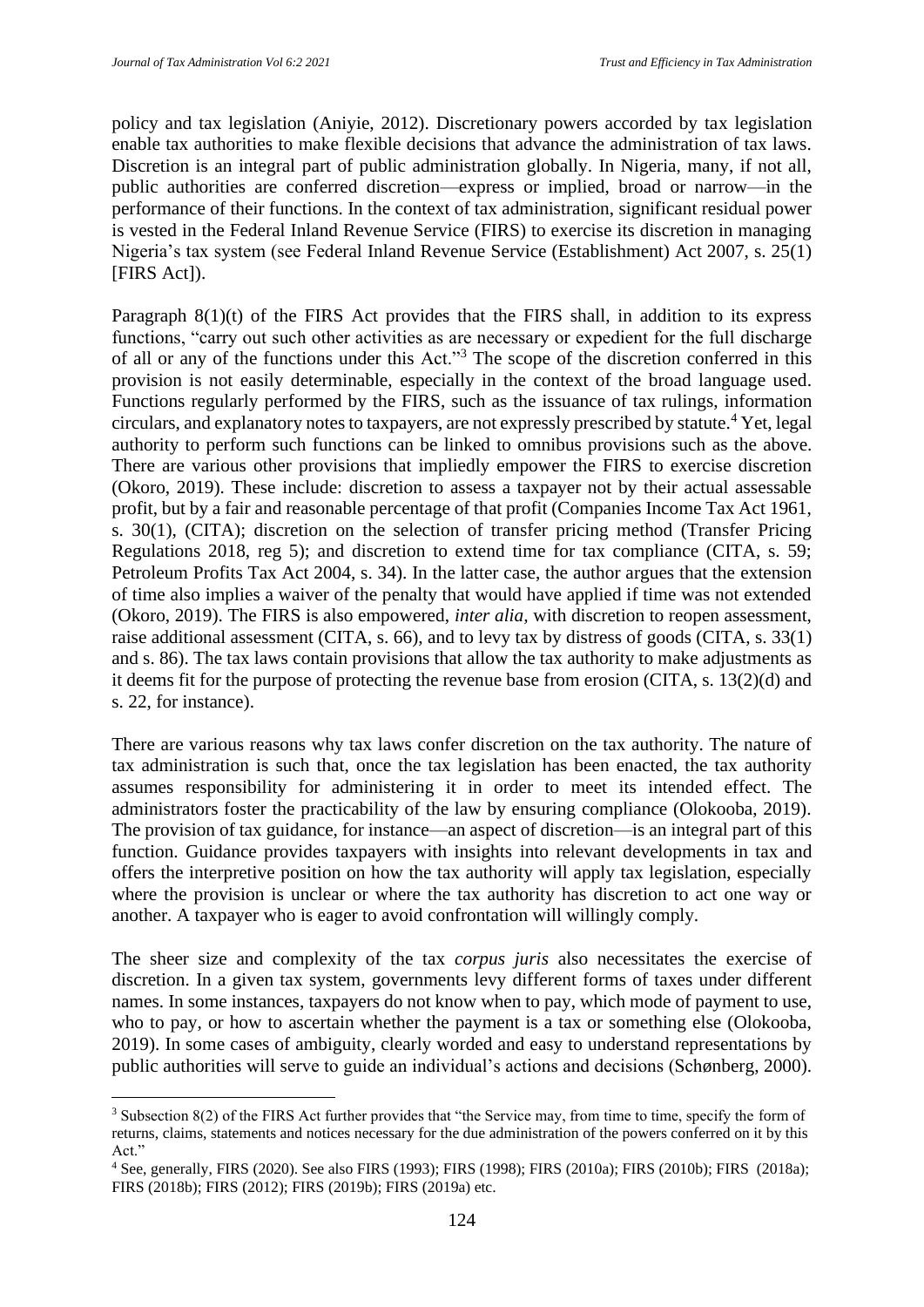policy and tax legislation (Aniyie, 2012). Discretionary powers accorded by tax legislation enable tax authorities to make flexible decisions that advance the administration of tax laws. Discretion is an integral part of public administration globally. In Nigeria, many, if not all, public authorities are conferred discretion—express or implied, broad or narrow—in the performance of their functions. In the context of tax administration, significant residual power is vested in the Federal Inland Revenue Service (FIRS) to exercise its discretion in managing Nigeria's tax system (see Federal Inland Revenue Service (Establishment) Act 2007, s. 25(1) [FIRS Act]).

Paragraph  $8(1)(t)$  of the FIRS Act provides that the FIRS shall, in addition to its express functions, "carry out such other activities as are necessary or expedient for the full discharge of all or any of the functions under this Act."<sup>3</sup> The scope of the discretion conferred in this provision is not easily determinable, especially in the context of the broad language used. Functions regularly performed by the FIRS, such as the issuance of tax rulings, information circulars, and explanatory notes to taxpayers, are not expressly prescribed by statute.<sup>4</sup> Yet, legal authority to perform such functions can be linked to omnibus provisions such as the above. There are various other provisions that impliedly empower the FIRS to exercise discretion (Okoro, 2019). These include: discretion to assess a taxpayer not by their actual assessable profit, but by a fair and reasonable percentage of that profit (Companies Income Tax Act 1961, s. 30(1), (CITA); discretion on the selection of transfer pricing method (Transfer Pricing Regulations 2018, reg 5); and discretion to extend time for tax compliance (CITA, s. 59; Petroleum Profits Tax Act 2004, s. 34). In the latter case, the author argues that the extension of time also implies a waiver of the penalty that would have applied if time was not extended (Okoro, 2019). The FIRS is also empowered, *inter alia,* with discretion to reopen assessment, raise additional assessment (CITA, s. 66), and to levy tax by distress of goods (CITA, s. 33(1) and s. 86). The tax laws contain provisions that allow the tax authority to make adjustments as it deems fit for the purpose of protecting the revenue base from erosion (CITA, s. 13(2)(d) and s. 22, for instance).

There are various reasons why tax laws confer discretion on the tax authority. The nature of tax administration is such that, once the tax legislation has been enacted, the tax authority assumes responsibility for administering it in order to meet its intended effect. The administrators foster the practicability of the law by ensuring compliance (Olokooba, 2019). The provision of tax guidance, for instance—an aspect of discretion—is an integral part of this function. Guidance provides taxpayers with insights into relevant developments in tax and offers the interpretive position on how the tax authority will apply tax legislation, especially where the provision is unclear or where the tax authority has discretion to act one way or another. A taxpayer who is eager to avoid confrontation will willingly comply.

The sheer size and complexity of the tax *corpus juris* also necessitates the exercise of discretion. In a given tax system, governments levy different forms of taxes under different names. In some instances, taxpayers do not know when to pay, which mode of payment to use, who to pay, or how to ascertain whether the payment is a tax or something else (Olokooba, 2019). In some cases of ambiguity, clearly worded and easy to understand representations by public authorities will serve to guide an individual's actions and decisions (Schønberg, 2000).

<sup>3</sup> Subsection 8(2) of the FIRS Act further provides that "the Service may, from time to time, specify the form of returns, claims, statements and notices necessary for the due administration of the powers conferred on it by this Act<sup>"</sup>

<sup>4</sup> See, generally, FIRS (2020). See also FIRS (1993); FIRS (1998); FIRS (2010a); FIRS (2010b); FIRS (2018a); FIRS (2018b); FIRS (2012); FIRS (2019b); FIRS (2019a) etc.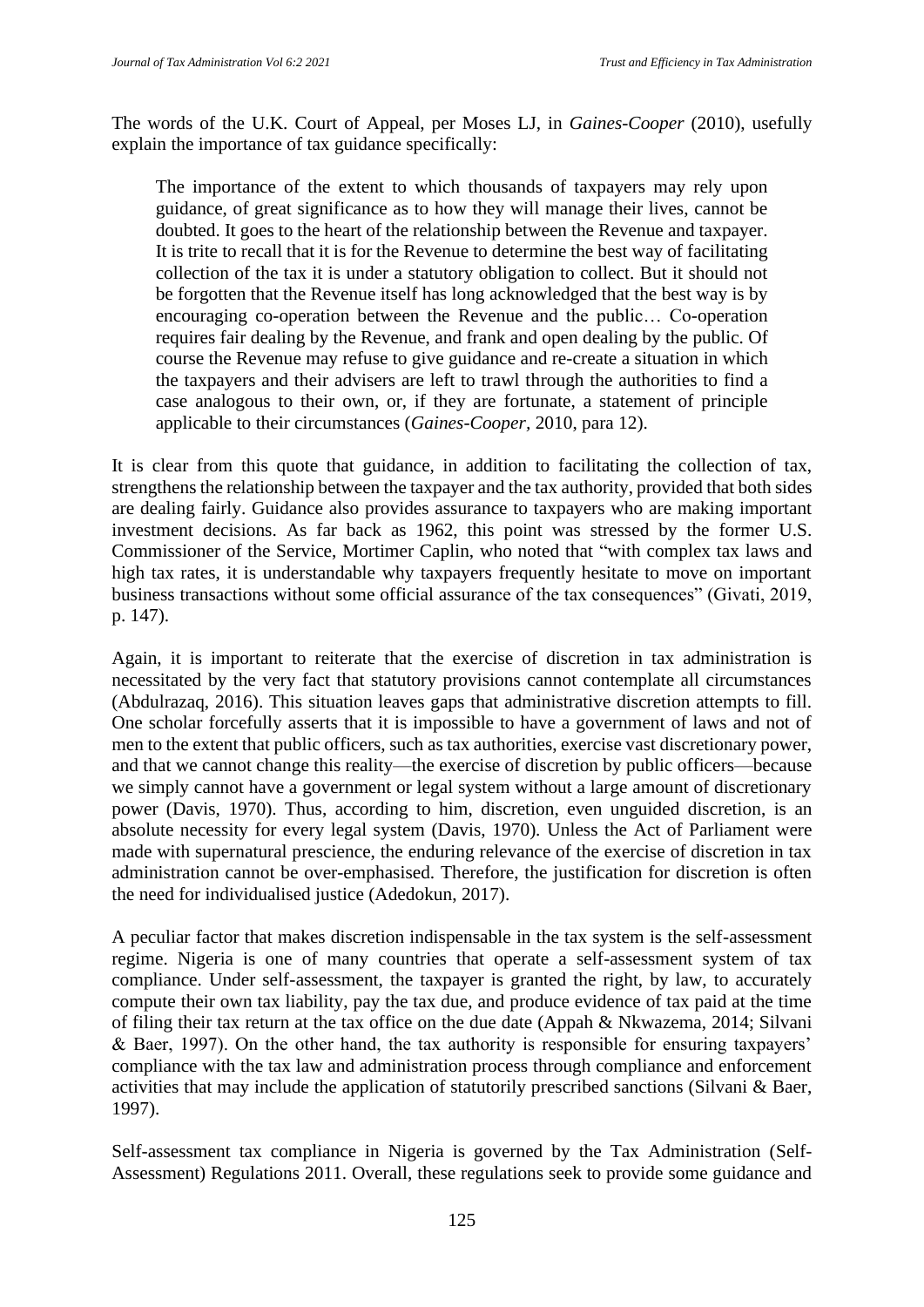The words of the U.K. Court of Appeal, per Moses LJ, in *Gaines-Cooper* (2010), usefully explain the importance of tax guidance specifically:

The importance of the extent to which thousands of taxpayers may rely upon guidance, of great significance as to how they will manage their lives, cannot be doubted. It goes to the heart of the relationship between the Revenue and taxpayer. It is trite to recall that it is for the Revenue to determine the best way of facilitating collection of the tax it is under a statutory obligation to collect. But it should not be forgotten that the Revenue itself has long acknowledged that the best way is by encouraging co-operation between the Revenue and the public… Co-operation requires fair dealing by the Revenue, and frank and open dealing by the public. Of course the Revenue may refuse to give guidance and re-create a situation in which the taxpayers and their advisers are left to trawl through the authorities to find a case analogous to their own, or, if they are fortunate, a statement of principle applicable to their circumstances (*Gaines-Cooper,* 2010, para 12).

It is clear from this quote that guidance, in addition to facilitating the collection of tax, strengthens the relationship between the taxpayer and the tax authority, provided that both sides are dealing fairly. Guidance also provides assurance to taxpayers who are making important investment decisions. As far back as 1962, this point was stressed by the former U.S. Commissioner of the Service, Mortimer Caplin, who noted that "with complex tax laws and high tax rates, it is understandable why taxpayers frequently hesitate to move on important business transactions without some official assurance of the tax consequences" (Givati, 2019, p. 147).

Again, it is important to reiterate that the exercise of discretion in tax administration is necessitated by the very fact that statutory provisions cannot contemplate all circumstances (Abdulrazaq, 2016). This situation leaves gaps that administrative discretion attempts to fill. One scholar forcefully asserts that it is impossible to have a government of laws and not of men to the extent that public officers, such as tax authorities, exercise vast discretionary power, and that we cannot change this reality—the exercise of discretion by public officers—because we simply cannot have a government or legal system without a large amount of discretionary power (Davis, 1970). Thus, according to him, discretion, even unguided discretion, is an absolute necessity for every legal system (Davis, 1970)*.* Unless the Act of Parliament were made with supernatural prescience, the enduring relevance of the exercise of discretion in tax administration cannot be over-emphasised. Therefore, the justification for discretion is often the need for individualised justice (Adedokun, 2017).

A peculiar factor that makes discretion indispensable in the tax system is the self-assessment regime. Nigeria is one of many countries that operate a self-assessment system of tax compliance. Under self-assessment, the taxpayer is granted the right, by law, to accurately compute their own tax liability, pay the tax due, and produce evidence of tax paid at the time of filing their tax return at the tax office on the due date (Appah & Nkwazema, 2014; Silvani & Baer, 1997). On the other hand, the tax authority is responsible for ensuring taxpayers' compliance with the tax law and administration process through compliance and enforcement activities that may include the application of statutorily prescribed sanctions (Silvani & Baer, 1997).

Self-assessment tax compliance in Nigeria is governed by the Tax Administration (Self-Assessment) Regulations 2011. Overall, these regulations seek to provide some guidance and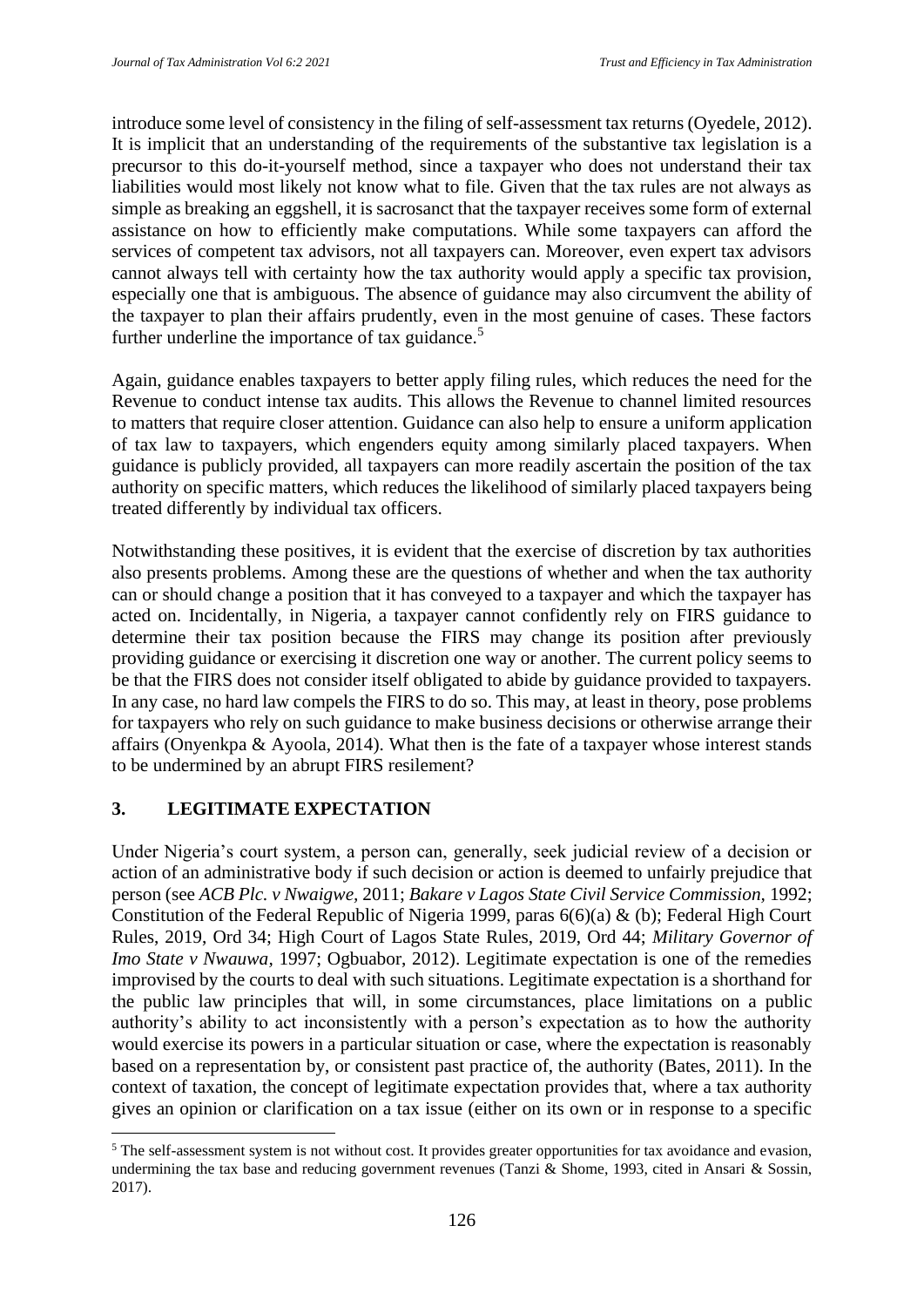introduce some level of consistency in the filing of self-assessment tax returns (Oyedele, 2012). It is implicit that an understanding of the requirements of the substantive tax legislation is a precursor to this do-it-yourself method, since a taxpayer who does not understand their tax liabilities would most likely not know what to file. Given that the tax rules are not always as simple as breaking an eggshell, it is sacrosanct that the taxpayer receives some form of external assistance on how to efficiently make computations. While some taxpayers can afford the services of competent tax advisors, not all taxpayers can. Moreover, even expert tax advisors cannot always tell with certainty how the tax authority would apply a specific tax provision, especially one that is ambiguous. The absence of guidance may also circumvent the ability of the taxpayer to plan their affairs prudently, even in the most genuine of cases. These factors further underline the importance of tax guidance.<sup>5</sup>

Again, guidance enables taxpayers to better apply filing rules, which reduces the need for the Revenue to conduct intense tax audits. This allows the Revenue to channel limited resources to matters that require closer attention. Guidance can also help to ensure a uniform application of tax law to taxpayers, which engenders equity among similarly placed taxpayers. When guidance is publicly provided, all taxpayers can more readily ascertain the position of the tax authority on specific matters, which reduces the likelihood of similarly placed taxpayers being treated differently by individual tax officers.

Notwithstanding these positives, it is evident that the exercise of discretion by tax authorities also presents problems. Among these are the questions of whether and when the tax authority can or should change a position that it has conveyed to a taxpayer and which the taxpayer has acted on. Incidentally, in Nigeria, a taxpayer cannot confidently rely on FIRS guidance to determine their tax position because the FIRS may change its position after previously providing guidance or exercising it discretion one way or another. The current policy seems to be that the FIRS does not consider itself obligated to abide by guidance provided to taxpayers. In any case, no hard law compels the FIRS to do so. This may, at least in theory, pose problems for taxpayers who rely on such guidance to make business decisions or otherwise arrange their affairs (Onyenkpa & Ayoola, 2014). What then is the fate of a taxpayer whose interest stands to be undermined by an abrupt FIRS resilement?

## **3. LEGITIMATE EXPECTATION**

Under Nigeria's court system, a person can, generally, seek judicial review of a decision or action of an administrative body if such decision or action is deemed to unfairly prejudice that person (see *ACB Plc. v Nwaigwe,* 2011; *Bakare v Lagos State Civil Service Commission,* 1992; Constitution of the Federal Republic of Nigeria 1999, paras 6(6)(a) & (b); Federal High Court Rules, 2019, Ord 34; High Court of Lagos State Rules, 2019, Ord 44; *Military Governor of Imo State v Nwauwa,* 1997; Ogbuabor, 2012). Legitimate expectation is one of the remedies improvised by the courts to deal with such situations. Legitimate expectation is a shorthand for the public law principles that will, in some circumstances, place limitations on a public authority's ability to act inconsistently with a person's expectation as to how the authority would exercise its powers in a particular situation or case, where the expectation is reasonably based on a representation by, or consistent past practice of, the authority (Bates, 2011). In the context of taxation, the concept of legitimate expectation provides that, where a tax authority gives an opinion or clarification on a tax issue (either on its own or in response to a specific

<sup>&</sup>lt;sup>5</sup> The self-assessment system is not without cost. It provides greater opportunities for tax avoidance and evasion, undermining the tax base and reducing government revenues (Tanzi & Shome, 1993, cited in Ansari & Sossin, 2017).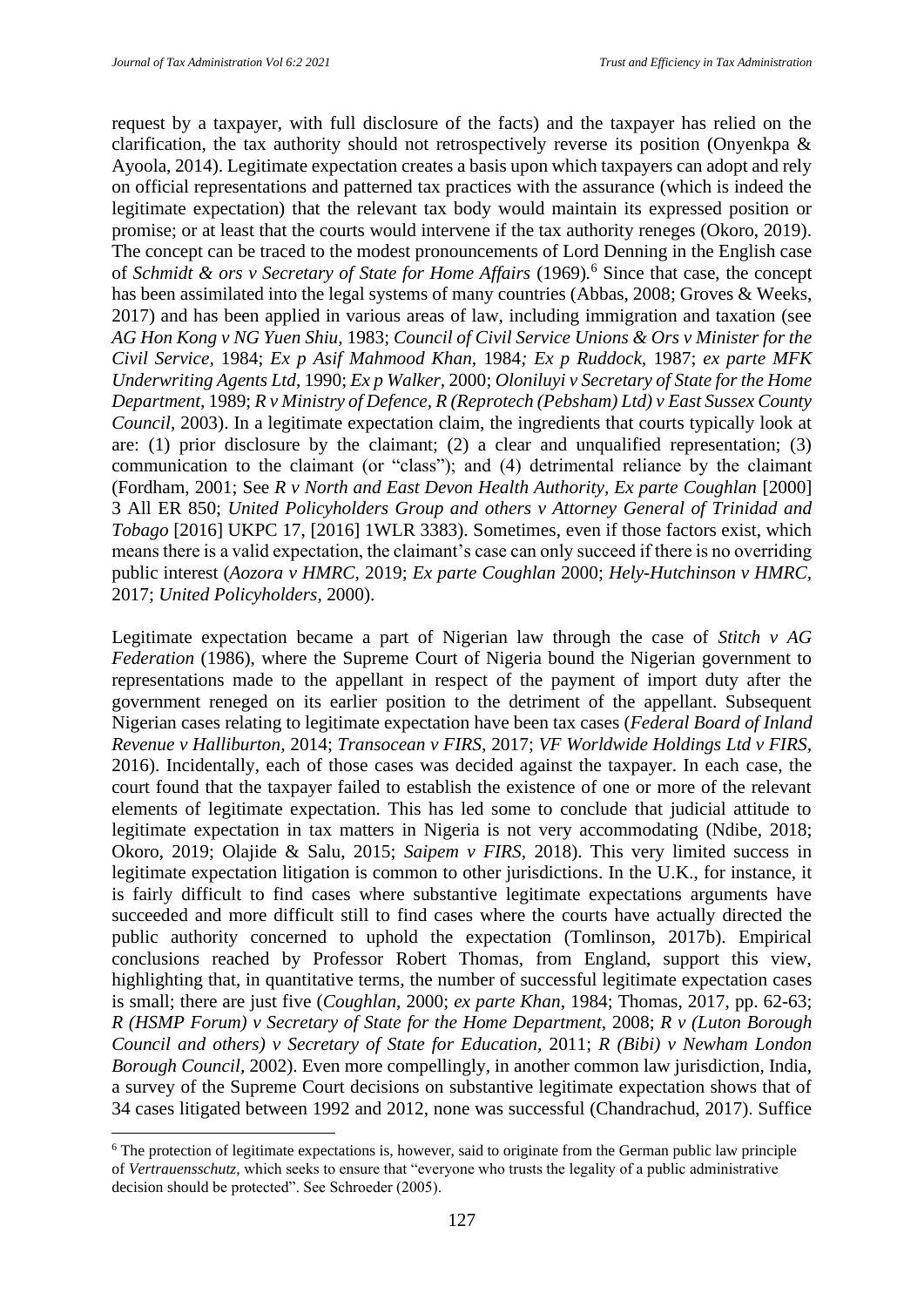request by a taxpayer, with full disclosure of the facts) and the taxpayer has relied on the clarification, the tax authority should not retrospectively reverse its position (Onyenkpa & Ayoola, 2014). Legitimate expectation creates a basis upon which taxpayers can adopt and rely on official representations and patterned tax practices with the assurance (which is indeed the legitimate expectation) that the relevant tax body would maintain its expressed position or promise; or at least that the courts would intervene if the tax authority reneges (Okoro, 2019). The concept can be traced to the modest pronouncements of Lord Denning in the English case of *Schmidt & ors v Secretary of State for Home Affairs* (1969)*.* <sup>6</sup> Since that case, the concept has been assimilated into the legal systems of many countries (Abbas, 2008; Groves & Weeks, 2017) and has been applied in various areas of law, including immigration and taxation (see *AG Hon Kong v NG Yuen Shiu,* 1983; *Council of Civil Service Unions & Ors v Minister for the Civil Service,* 1984; *Ex p Asif Mahmood Khan,* 1984*; Ex p Ruddock,* 1987; *ex parte MFK Underwriting Agents Ltd*, 1990; *Ex p Walker,* 2000; *Oloniluyi v Secretary of State for the Home Department,* 1989; *R v Ministry of Defence, R (Reprotech (Pebsham) Ltd) v East Sussex County Council,* 2003). In a legitimate expectation claim, the ingredients that courts typically look at are: (1) prior disclosure by the claimant; (2) a clear and unqualified representation; (3) communication to the claimant (or "class"); and (4) detrimental reliance by the claimant (Fordham, 2001; See *R v North and East Devon Health Authority, Ex parte Coughlan* [2000] 3 All ER 850; *United Policyholders Group and others v Attorney General of Trinidad and Tobago* [2016] UKPC 17, [2016] 1WLR 3383). Sometimes, even if those factors exist, which means there is a valid expectation, the claimant's case can only succeed if there is no overriding public interest (*Aozora v HMRC,* 2019; *Ex parte Coughlan* 2000; *Hely-Hutchinson v HMRC,*  2017; *United Policyholders*, 2000).

Legitimate expectation became a part of Nigerian law through the case of *Stitch v AG Federation* (1986), where the Supreme Court of Nigeria bound the Nigerian government to representations made to the appellant in respect of the payment of import duty after the government reneged on its earlier position to the detriment of the appellant. Subsequent Nigerian cases relating to legitimate expectation have been tax cases (*Federal Board of Inland Revenue v Halliburton,* 2014; *Transocean v FIRS,* 2017; *VF Worldwide Holdings Ltd v FIRS,*  2016). Incidentally, each of those cases was decided against the taxpayer. In each case, the court found that the taxpayer failed to establish the existence of one or more of the relevant elements of legitimate expectation. This has led some to conclude that judicial attitude to legitimate expectation in tax matters in Nigeria is not very accommodating (Ndibe, 2018; Okoro, 2019; Olajide & Salu, 2015; *Saipem v FIRS,* 2018). This very limited success in legitimate expectation litigation is common to other jurisdictions. In the U.K., for instance, it is fairly difficult to find cases where substantive legitimate expectations arguments have succeeded and more difficult still to find cases where the courts have actually directed the public authority concerned to uphold the expectation (Tomlinson, 2017b). Empirical conclusions reached by Professor Robert Thomas, from England, support this view, highlighting that, in quantitative terms, the number of successful legitimate expectation cases is small; there are just five (*Coughlan,* 2000; *ex parte Khan*, 1984; Thomas, 2017, pp. 62-63; *R (HSMP Forum) v Secretary of State for the Home Department,* 2008; *R v (Luton Borough Council and others) v Secretary of State for Education,* 2011; *R (Bibi) v Newham London Borough Council,* 2002). Even more compellingly, in another common law jurisdiction, India, a survey of the Supreme Court decisions on substantive legitimate expectation shows that of 34 cases litigated between 1992 and 2012, none was successful (Chandrachud, 2017). Suffice

 $6$  The protection of legitimate expectations is, however, said to originate from the German public law principle of *Vertrauensschutz*, which seeks to ensure that "everyone who trusts the legality of a public administrative decision should be protected". See Schroeder (2005).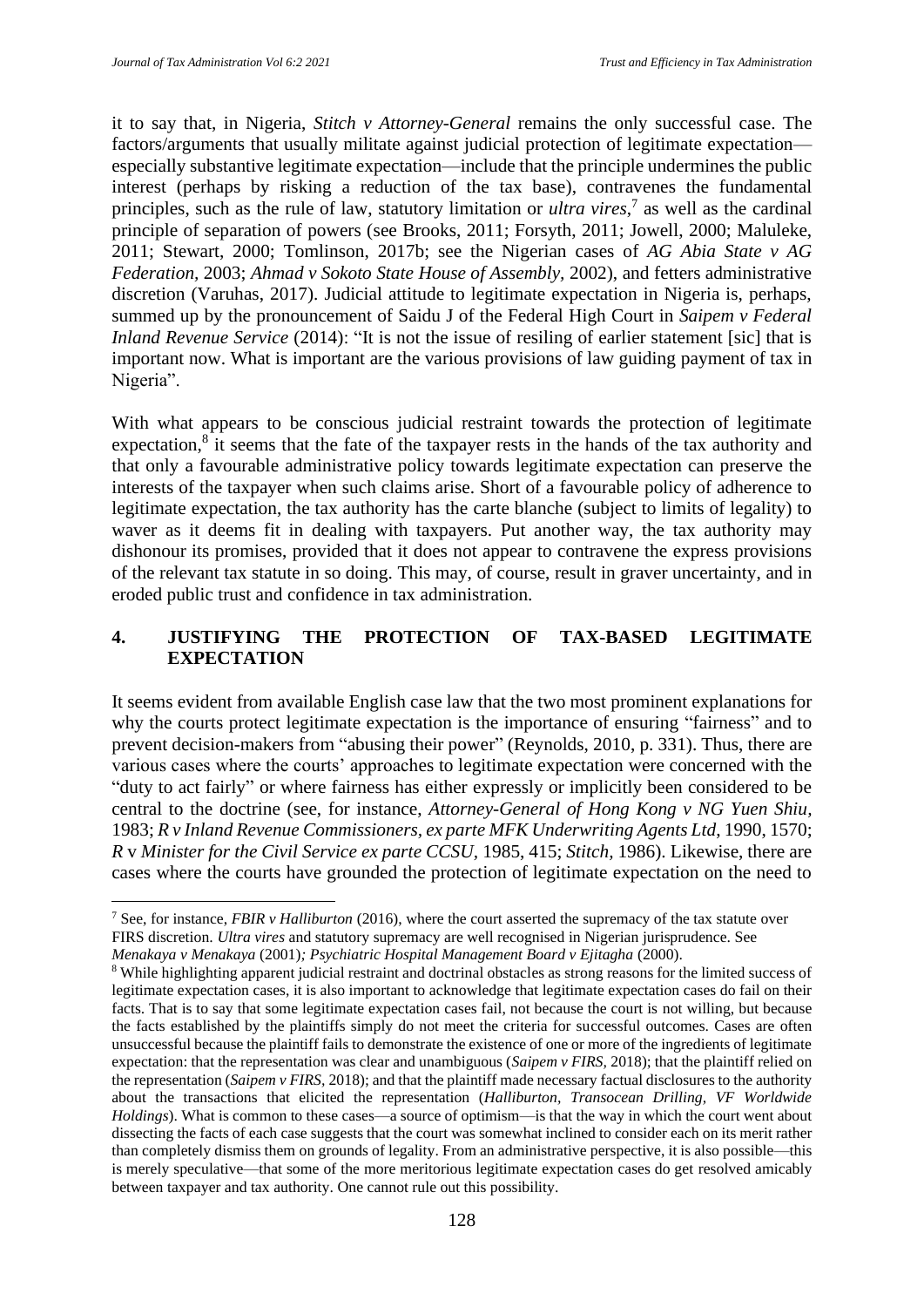it to say that, in Nigeria, *Stitch v Attorney-General* remains the only successful case. The factors/arguments that usually militate against judicial protection of legitimate expectation especially substantive legitimate expectation—include that the principle undermines the public interest (perhaps by risking a reduction of the tax base), contravenes the fundamental principles, such as the rule of law, statutory limitation or *ultra vires*, 7 as well as the cardinal principle of separation of powers (see Brooks, 2011; Forsyth, 2011; Jowell, 2000; Maluleke, 2011; Stewart, 2000; Tomlinson, 2017b; see the Nigerian cases of *AG Abia State v AG Federation,* 2003; *Ahmad v Sokoto State House of Assembly,* 2002), and fetters administrative discretion (Varuhas, 2017). Judicial attitude to legitimate expectation in Nigeria is, perhaps, summed up by the pronouncement of Saidu J of the Federal High Court in *Saipem v Federal Inland Revenue Service* (2014): "It is not the issue of resiling of earlier statement [sic] that is important now. What is important are the various provisions of law guiding payment of tax in Nigeria".

With what appears to be conscious judicial restraint towards the protection of legitimate expectation, $8$  it seems that the fate of the taxpayer rests in the hands of the tax authority and that only a favourable administrative policy towards legitimate expectation can preserve the interests of the taxpayer when such claims arise. Short of a favourable policy of adherence to legitimate expectation, the tax authority has the carte blanche (subject to limits of legality) to waver as it deems fit in dealing with taxpayers. Put another way, the tax authority may dishonour its promises, provided that it does not appear to contravene the express provisions of the relevant tax statute in so doing. This may, of course, result in graver uncertainty, and in eroded public trust and confidence in tax administration.

## **4. JUSTIFYING THE PROTECTION OF TAX-BASED LEGITIMATE EXPECTATION**

It seems evident from available English case law that the two most prominent explanations for why the courts protect legitimate expectation is the importance of ensuring "fairness" and to prevent decision-makers from "abusing their power" (Reynolds, 2010, p. 331). Thus, there are various cases where the courts' approaches to legitimate expectation were concerned with the "duty to act fairly" or where fairness has either expressly or implicitly been considered to be central to the doctrine (see, for instance, *Attorney-General of Hong Kong v NG Yuen Shiu,*  1983; *R v Inland Revenue Commissioners, ex parte MFK Underwriting Agents Ltd*, 1990, 1570; *R* v *Minister for the Civil Service ex parte CCSU,* 1985, 415; *Stitch,* 1986). Likewise, there are cases where the courts have grounded the protection of legitimate expectation on the need to

<sup>7</sup> See, for instance, *FBIR v Halliburton* (2016), where the court asserted the supremacy of the tax statute over FIRS discretion. *Ultra vires* and statutory supremacy are well recognised in Nigerian jurisprudence. See *Menakaya v Menakaya* (2001)*; Psychiatric Hospital Management Board v Ejitagha* (2000).

<sup>8</sup> While highlighting apparent judicial restraint and doctrinal obstacles as strong reasons for the limited success of legitimate expectation cases, it is also important to acknowledge that legitimate expectation cases do fail on their facts. That is to say that some legitimate expectation cases fail, not because the court is not willing, but because the facts established by the plaintiffs simply do not meet the criteria for successful outcomes. Cases are often unsuccessful because the plaintiff fails to demonstrate the existence of one or more of the ingredients of legitimate expectation: that the representation was clear and unambiguous (*Saipem v FIRS,* 2018); that the plaintiff relied on the representation (*Saipem v FIRS,* 2018); and that the plaintiff made necessary factual disclosures to the authority about the transactions that elicited the representation (*Halliburton, Transocean Drilling, VF Worldwide Holdings*). What is common to these cases—a source of optimism—is that the way in which the court went about dissecting the facts of each case suggests that the court was somewhat inclined to consider each on its merit rather than completely dismiss them on grounds of legality. From an administrative perspective, it is also possible—this is merely speculative—that some of the more meritorious legitimate expectation cases do get resolved amicably between taxpayer and tax authority. One cannot rule out this possibility.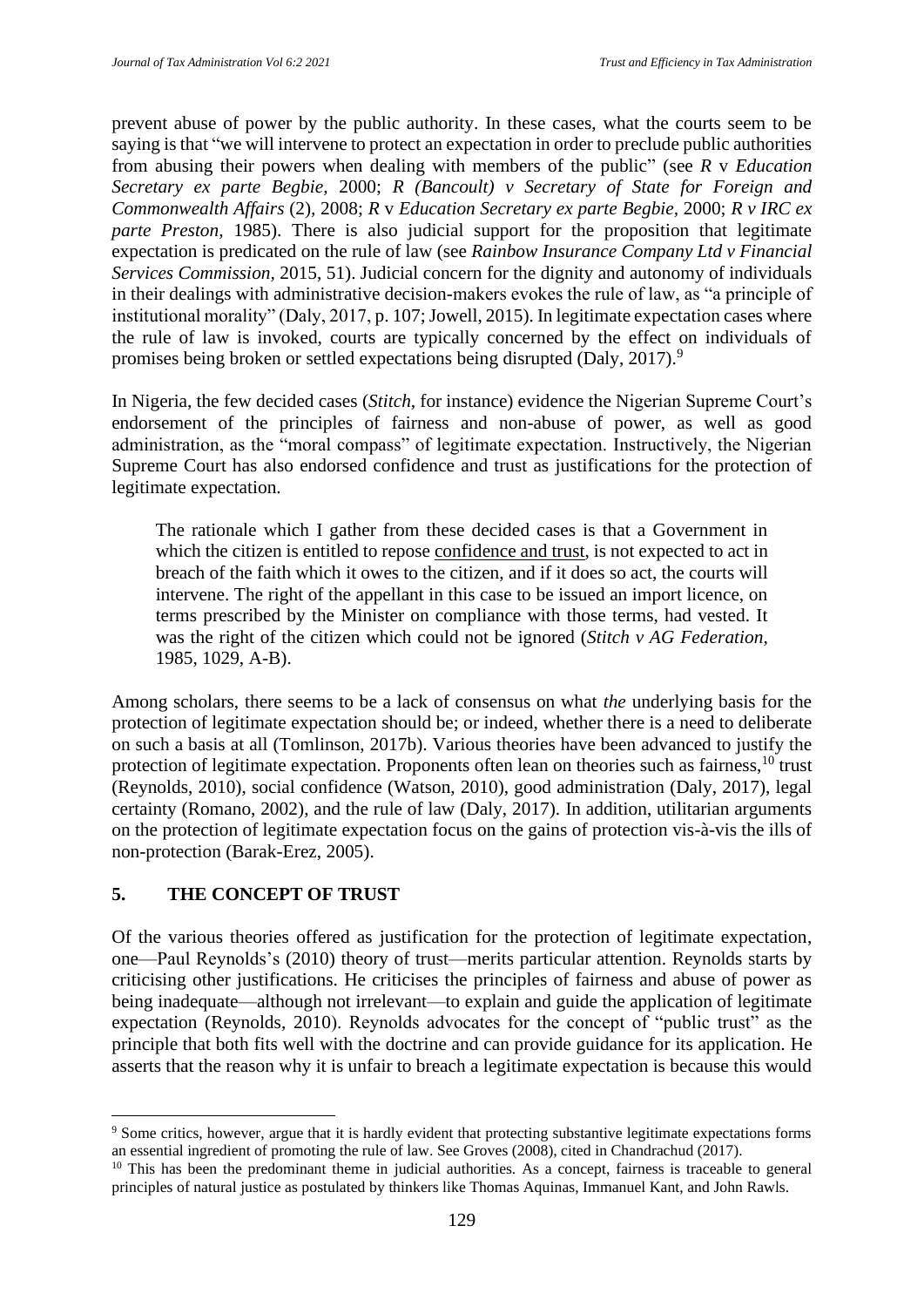prevent abuse of power by the public authority. In these cases, what the courts seem to be saying is that "we will intervene to protect an expectation in order to preclude public authorities from abusing their powers when dealing with members of the public" (see *R* v *Education Secretary ex parte Begbie,* 2000; *R (Bancoult) v Secretary of State for Foreign and Commonwealth Affairs* (2)*,* 2008; *R* v *Education Secretary ex parte Begbie,* 2000; *R v IRC ex parte Preston,* 1985). There is also judicial support for the proposition that legitimate expectation is predicated on the rule of law (see *Rainbow Insurance Company Ltd v Financial Services Commission,* 2015, 51). Judicial concern for the dignity and autonomy of individuals in their dealings with administrative decision-makers evokes the rule of law, as "a principle of institutional morality" (Daly, 2017, p. 107; Jowell, 2015). In legitimate expectation cases where the rule of law is invoked, courts are typically concerned by the effect on individuals of promises being broken or settled expectations being disrupted (Daly, 2017).<sup>9</sup>

In Nigeria, the few decided cases (*Stitch,* for instance) evidence the Nigerian Supreme Court's endorsement of the principles of fairness and non-abuse of power, as well as good administration, as the "moral compass" of legitimate expectation. Instructively, the Nigerian Supreme Court has also endorsed confidence and trust as justifications for the protection of legitimate expectation.

The rationale which I gather from these decided cases is that a Government in which the citizen is entitled to repose confidence and trust, is not expected to act in breach of the faith which it owes to the citizen, and if it does so act, the courts will intervene. The right of the appellant in this case to be issued an import licence, on terms prescribed by the Minister on compliance with those terms, had vested. It was the right of the citizen which could not be ignored (*Stitch v AG Federation,*  1985, 1029, A-B).

Among scholars, there seems to be a lack of consensus on what *the* underlying basis for the protection of legitimate expectation should be; or indeed, whether there is a need to deliberate on such a basis at all (Tomlinson, 2017b). Various theories have been advanced to justify the protection of legitimate expectation. Proponents often lean on theories such as fairness,<sup>10</sup> trust (Reynolds, 2010), social confidence (Watson, 2010), good administration (Daly, 2017), legal certainty (Romano, 2002), and the rule of law (Daly, 2017). In addition, utilitarian arguments on the protection of legitimate expectation focus on the gains of protection vis-à-vis the ills of non-protection (Barak-Erez, 2005).

## **5. THE CONCEPT OF TRUST**

Of the various theories offered as justification for the protection of legitimate expectation, one—Paul Reynolds's (2010) theory of trust—merits particular attention. Reynolds starts by criticising other justifications. He criticises the principles of fairness and abuse of power as being inadequate—although not irrelevant—to explain and guide the application of legitimate expectation (Reynolds, 2010). Reynolds advocates for the concept of "public trust" as the principle that both fits well with the doctrine and can provide guidance for its application. He asserts that the reason why it is unfair to breach a legitimate expectation is because this would

<sup>9</sup> Some critics, however, argue that it is hardly evident that protecting substantive legitimate expectations forms an essential ingredient of promoting the rule of law. See Groves (2008), cited in Chandrachud (2017).

<sup>&</sup>lt;sup>10</sup> This has been the predominant theme in judicial authorities. As a concept, fairness is traceable to general principles of natural justice as postulated by thinkers like Thomas Aquinas, Immanuel Kant, and John Rawls.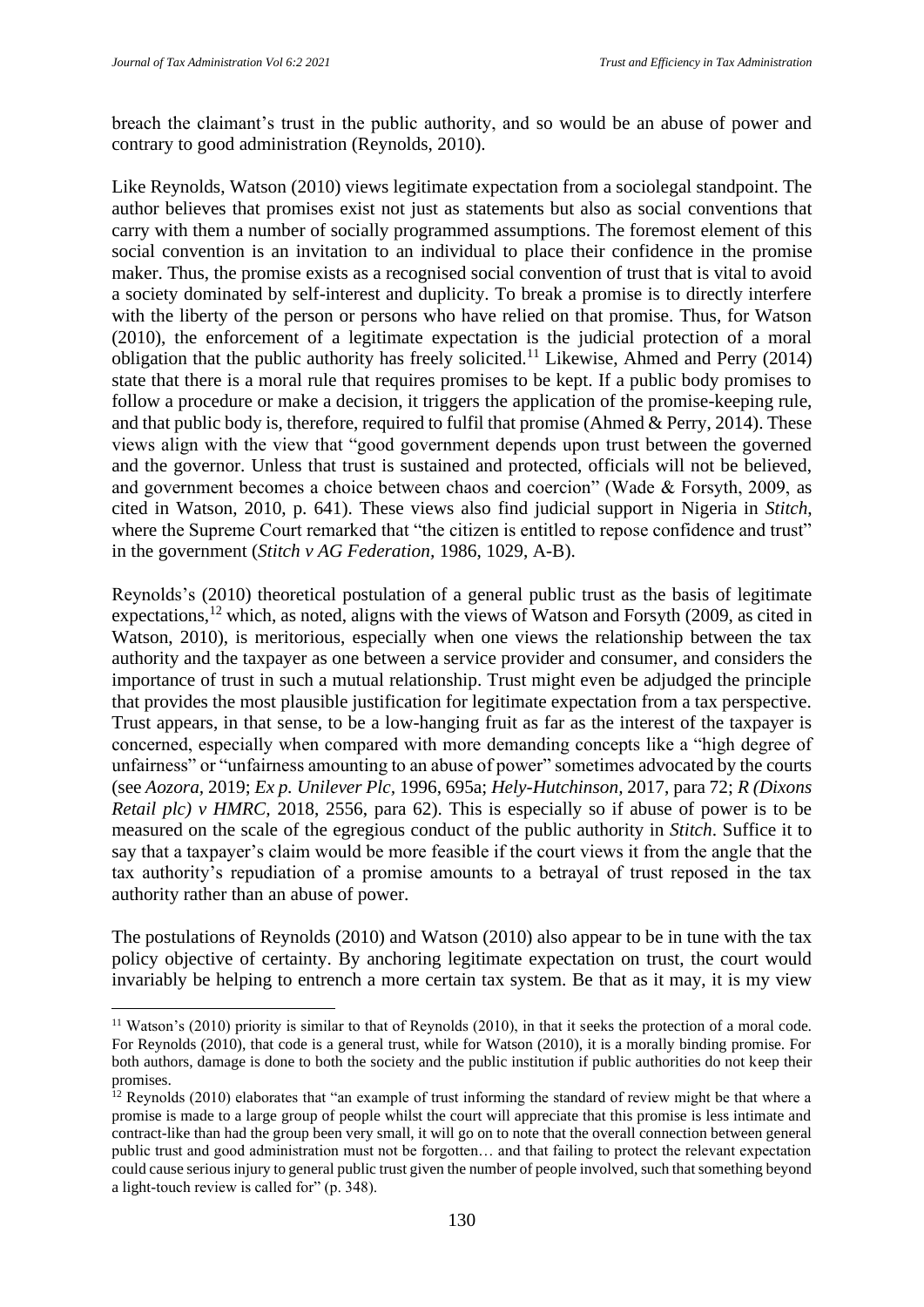breach the claimant's trust in the public authority, and so would be an abuse of power and contrary to good administration (Reynolds, 2010).

Like Reynolds, Watson (2010) views legitimate expectation from a sociolegal standpoint. The author believes that promises exist not just as statements but also as social conventions that carry with them a number of socially programmed assumptions. The foremost element of this social convention is an invitation to an individual to place their confidence in the promise maker. Thus, the promise exists as a recognised social convention of trust that is vital to avoid a society dominated by self-interest and duplicity. To break a promise is to directly interfere with the liberty of the person or persons who have relied on that promise. Thus, for Watson (2010), the enforcement of a legitimate expectation is the judicial protection of a moral obligation that the public authority has freely solicited.<sup>11</sup> Likewise, Ahmed and Perry (2014) state that there is a moral rule that requires promises to be kept. If a public body promises to follow a procedure or make a decision, it triggers the application of the promise-keeping rule, and that public body is, therefore, required to fulfil that promise (Ahmed & Perry, 2014). These views align with the view that "good government depends upon trust between the governed and the governor. Unless that trust is sustained and protected, officials will not be believed, and government becomes a choice between chaos and coercion" (Wade & Forsyth, 2009, as cited in Watson, 2010, p. 641). These views also find judicial support in Nigeria in *Stitch*, where the Supreme Court remarked that "the citizen is entitled to repose confidence and trust" in the government (*Stitch v AG Federation,* 1986, 1029, A-B).

Reynolds's (2010) theoretical postulation of a general public trust as the basis of legitimate expectations,<sup>12</sup> which, as noted, aligns with the views of Watson and Forsyth (2009, as cited in Watson, 2010), is meritorious, especially when one views the relationship between the tax authority and the taxpayer as one between a service provider and consumer, and considers the importance of trust in such a mutual relationship. Trust might even be adjudged the principle that provides the most plausible justification for legitimate expectation from a tax perspective. Trust appears, in that sense, to be a low-hanging fruit as far as the interest of the taxpayer is concerned, especially when compared with more demanding concepts like a "high degree of unfairness" or "unfairness amounting to an abuse of power" sometimes advocated by the courts (see *Aozora,* 2019; *Ex p. Unilever Plc,* 1996, 695a; *Hely-Hutchinson,* 2017, para 72; *R (Dixons Retail plc) v HMRC,* 2018, 2556, para 62). This is especially so if abuse of power is to be measured on the scale of the egregious conduct of the public authority in *Stitch*. Suffice it to say that a taxpayer's claim would be more feasible if the court views it from the angle that the tax authority's repudiation of a promise amounts to a betrayal of trust reposed in the tax authority rather than an abuse of power.

The postulations of Reynolds (2010) and Watson (2010) also appear to be in tune with the tax policy objective of certainty. By anchoring legitimate expectation on trust, the court would invariably be helping to entrench a more certain tax system. Be that as it may, it is my view

 $11$  Watson's (2010) priority is similar to that of Reynolds (2010), in that it seeks the protection of a moral code. For Reynolds (2010), that code is a general trust, while for Watson (2010), it is a morally binding promise. For both authors, damage is done to both the society and the public institution if public authorities do not keep their promises.

<sup>&</sup>lt;sup>12</sup> Reynolds (2010) elaborates that "an example of trust informing the standard of review might be that where a promise is made to a large group of people whilst the court will appreciate that this promise is less intimate and contract-like than had the group been very small, it will go on to note that the overall connection between general public trust and good administration must not be forgotten… and that failing to protect the relevant expectation could cause serious injury to general public trust given the number of people involved, such that something beyond a light-touch review is called for" (p. 348).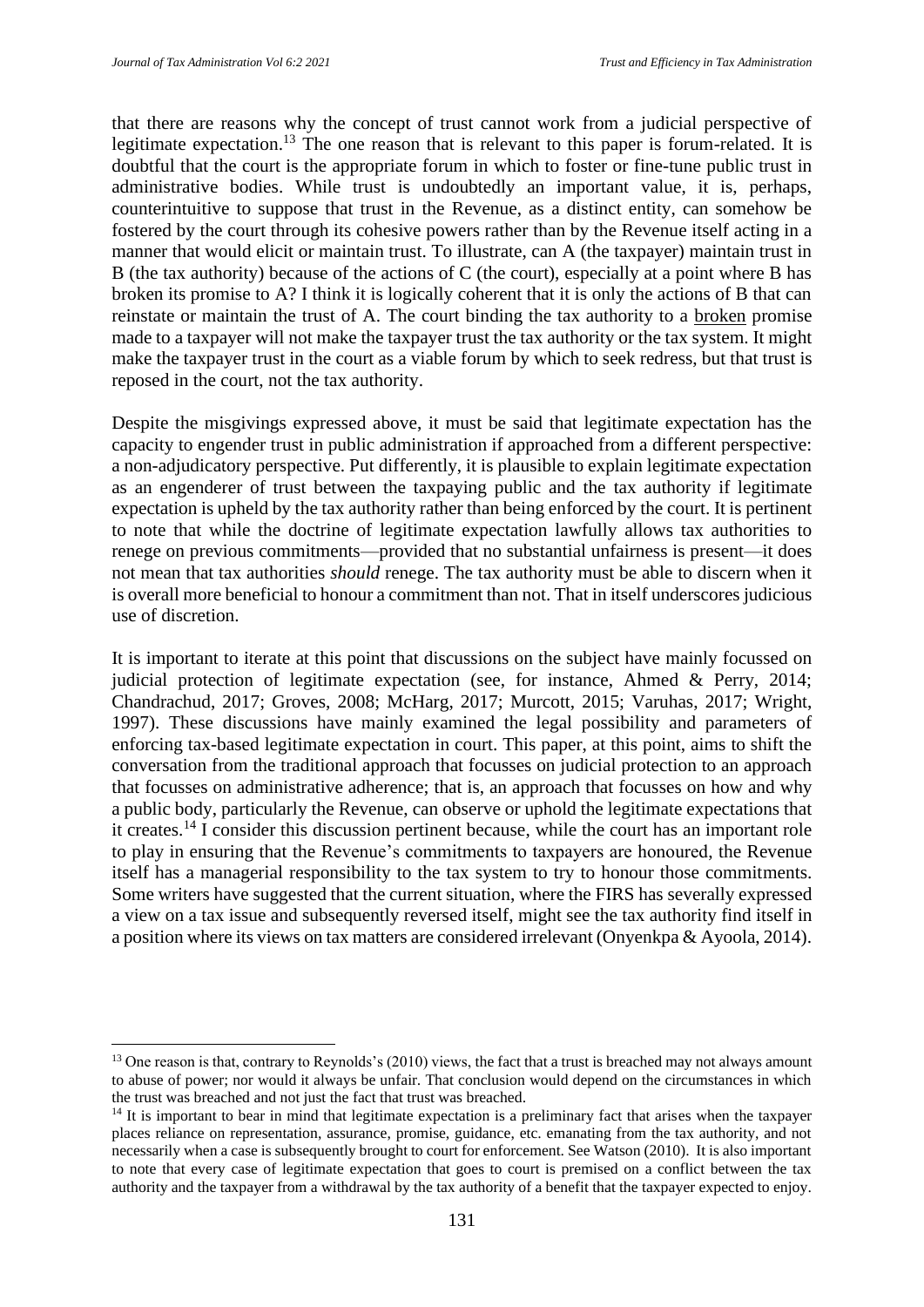that there are reasons why the concept of trust cannot work from a judicial perspective of legitimate expectation.<sup>13</sup> The one reason that is relevant to this paper is forum-related. It is doubtful that the court is the appropriate forum in which to foster or fine-tune public trust in administrative bodies. While trust is undoubtedly an important value, it is, perhaps, counterintuitive to suppose that trust in the Revenue, as a distinct entity, can somehow be fostered by the court through its cohesive powers rather than by the Revenue itself acting in a manner that would elicit or maintain trust. To illustrate, can A (the taxpayer) maintain trust in B (the tax authority) because of the actions of C (the court), especially at a point where B has broken its promise to A? I think it is logically coherent that it is only the actions of B that can reinstate or maintain the trust of A. The court binding the tax authority to a broken promise made to a taxpayer will not make the taxpayer trust the tax authority or the tax system. It might make the taxpayer trust in the court as a viable forum by which to seek redress, but that trust is reposed in the court, not the tax authority.

Despite the misgivings expressed above, it must be said that legitimate expectation has the capacity to engender trust in public administration if approached from a different perspective: a non-adjudicatory perspective. Put differently, it is plausible to explain legitimate expectation as an engenderer of trust between the taxpaying public and the tax authority if legitimate expectation is upheld by the tax authority rather than being enforced by the court. It is pertinent to note that while the doctrine of legitimate expectation lawfully allows tax authorities to renege on previous commitments—provided that no substantial unfairness is present—it does not mean that tax authorities *should* renege. The tax authority must be able to discern when it is overall more beneficial to honour a commitment than not. That in itself underscores judicious use of discretion.

It is important to iterate at this point that discussions on the subject have mainly focussed on judicial protection of legitimate expectation (see, for instance, Ahmed & Perry, 2014; Chandrachud, 2017; Groves, 2008; McHarg, 2017; Murcott, 2015; Varuhas, 2017; Wright, 1997). These discussions have mainly examined the legal possibility and parameters of enforcing tax-based legitimate expectation in court. This paper, at this point, aims to shift the conversation from the traditional approach that focusses on judicial protection to an approach that focusses on administrative adherence; that is, an approach that focusses on how and why a public body, particularly the Revenue, can observe or uphold the legitimate expectations that it creates.<sup>14</sup> I consider this discussion pertinent because, while the court has an important role to play in ensuring that the Revenue's commitments to taxpayers are honoured, the Revenue itself has a managerial responsibility to the tax system to try to honour those commitments. Some writers have suggested that the current situation, where the FIRS has severally expressed a view on a tax issue and subsequently reversed itself, might see the tax authority find itself in a position where its views on tax matters are considered irrelevant (Onyenkpa & Ayoola, 2014).

 $13$  One reason is that, contrary to Reynolds's (2010) views, the fact that a trust is breached may not always amount to abuse of power; nor would it always be unfair. That conclusion would depend on the circumstances in which the trust was breached and not just the fact that trust was breached.

<sup>&</sup>lt;sup>14</sup> It is important to bear in mind that legitimate expectation is a preliminary fact that arises when the taxpayer places reliance on representation, assurance, promise, guidance, etc. emanating from the tax authority, and not necessarily when a case is subsequently brought to court for enforcement. See Watson (2010). It is also important to note that every case of legitimate expectation that goes to court is premised on a conflict between the tax authority and the taxpayer from a withdrawal by the tax authority of a benefit that the taxpayer expected to enjoy.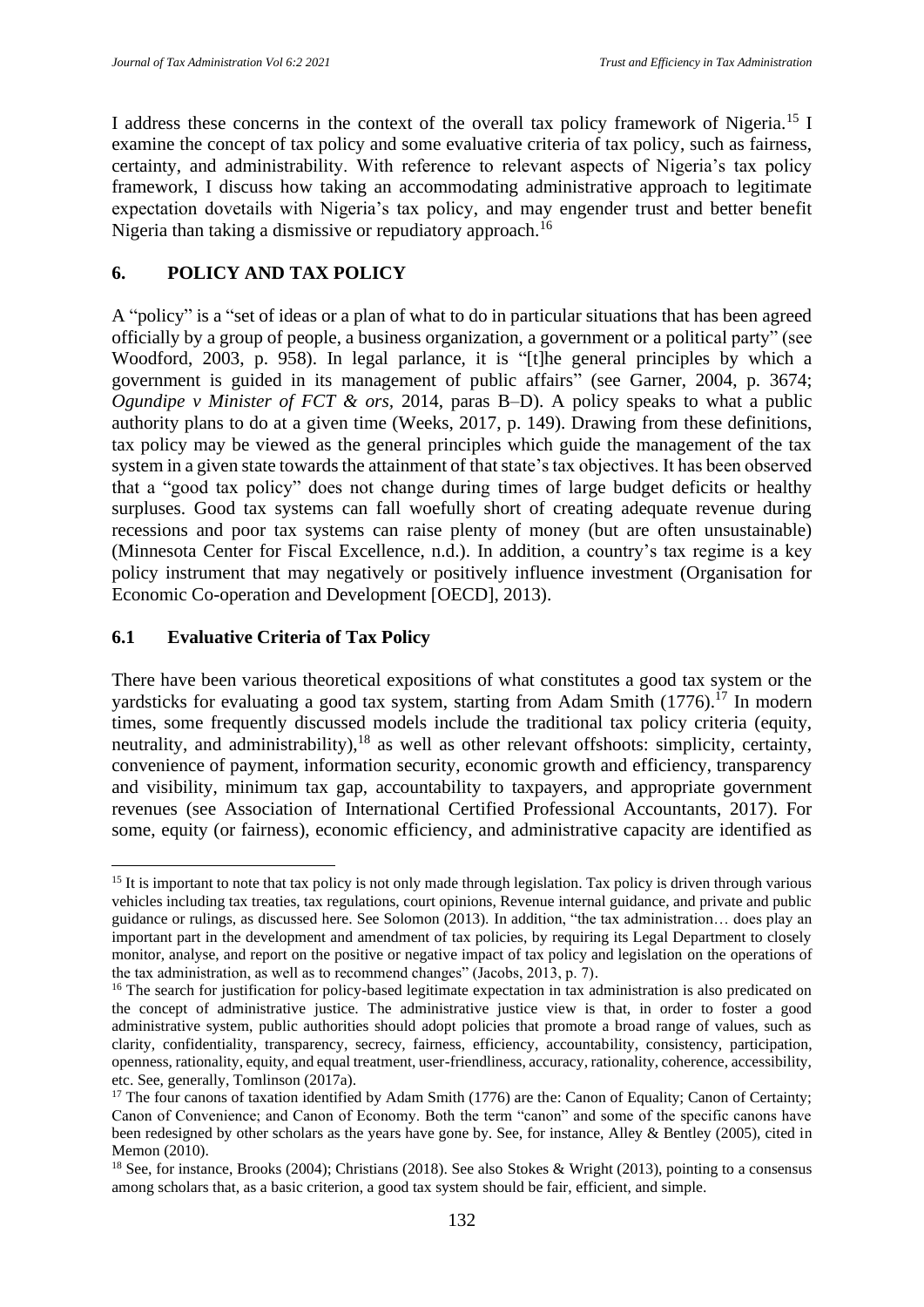I address these concerns in the context of the overall tax policy framework of Nigeria.<sup>15</sup> I examine the concept of tax policy and some evaluative criteria of tax policy, such as fairness, certainty, and administrability. With reference to relevant aspects of Nigeria's tax policy framework, I discuss how taking an accommodating administrative approach to legitimate expectation dovetails with Nigeria's tax policy, and may engender trust and better benefit Nigeria than taking a dismissive or repudiatory approach.<sup>16</sup>

## **6. POLICY AND TAX POLICY**

A "policy" is a "set of ideas or a plan of what to do in particular situations that has been agreed officially by a group of people, a business organization, a government or a political party" (see Woodford, 2003, p. 958). In legal parlance, it is "[t]he general principles by which a government is guided in its management of public affairs" (see Garner, 2004, p. 3674; *Ogundipe v Minister of FCT & ors,* 2014, paras B–D). A policy speaks to what a public authority plans to do at a given time (Weeks, 2017, p. 149). Drawing from these definitions, tax policy may be viewed as the general principles which guide the management of the tax system in a given state towards the attainment of that state's tax objectives. It has been observed that a "good tax policy" does not change during times of large budget deficits or healthy surpluses. Good tax systems can fall woefully short of creating adequate revenue during recessions and poor tax systems can raise plenty of money (but are often unsustainable) (Minnesota Center for Fiscal Excellence, n.d.). In addition, a country's tax regime is a key policy instrument that may negatively or positively influence investment (Organisation for Economic Co-operation and Development [OECD], 2013).

## **6.1 Evaluative Criteria of Tax Policy**

There have been various theoretical expositions of what constitutes a good tax system or the yardsticks for evaluating a good tax system, starting from Adam Smith  $(1776)^{17}$  In modern times, some frequently discussed models include the traditional tax policy criteria (equity, neutrality, and administrability),  $18$  as well as other relevant offshoots: simplicity, certainty, convenience of payment, information security, economic growth and efficiency, transparency and visibility, minimum tax gap, accountability to taxpayers, and appropriate government revenues (see Association of International Certified Professional Accountants, 2017). For some, equity (or fairness), economic efficiency, and administrative capacity are identified as

<sup>&</sup>lt;sup>15</sup> It is important to note that tax policy is not only made through legislation. Tax policy is driven through various vehicles including tax treaties, tax regulations, court opinions, Revenue internal guidance, and private and public guidance or rulings, as discussed here. See Solomon (2013). In addition, "the tax administration… does play an important part in the development and amendment of tax policies, by requiring its Legal Department to closely monitor, analyse, and report on the positive or negative impact of tax policy and legislation on the operations of the tax administration, as well as to recommend changes" (Jacobs, 2013, p. 7).

<sup>&</sup>lt;sup>16</sup> The search for justification for policy-based legitimate expectation in tax administration is also predicated on the concept of administrative justice. The administrative justice view is that, in order to foster a good administrative system, public authorities should adopt policies that promote a broad range of values, such as clarity, confidentiality, transparency, secrecy, fairness, efficiency, accountability, consistency, participation, openness, rationality, equity, and equal treatment, user-friendliness, accuracy, rationality, coherence, accessibility, etc. See, generally, Tomlinson (2017a).

<sup>&</sup>lt;sup>17</sup> The four canons of taxation identified by Adam Smith (1776) are the: Canon of Equality; Canon of Certainty; Canon of Convenience; and Canon of Economy. Both the term "canon" and some of the specific canons have been redesigned by other scholars as the years have gone by. See, for instance, Alley & Bentley (2005), cited in Memon (2010).

<sup>&</sup>lt;sup>18</sup> See, for instance, Brooks (2004); Christians (2018). See also Stokes & Wright (2013), pointing to a consensus among scholars that, as a basic criterion, a good tax system should be fair, efficient, and simple.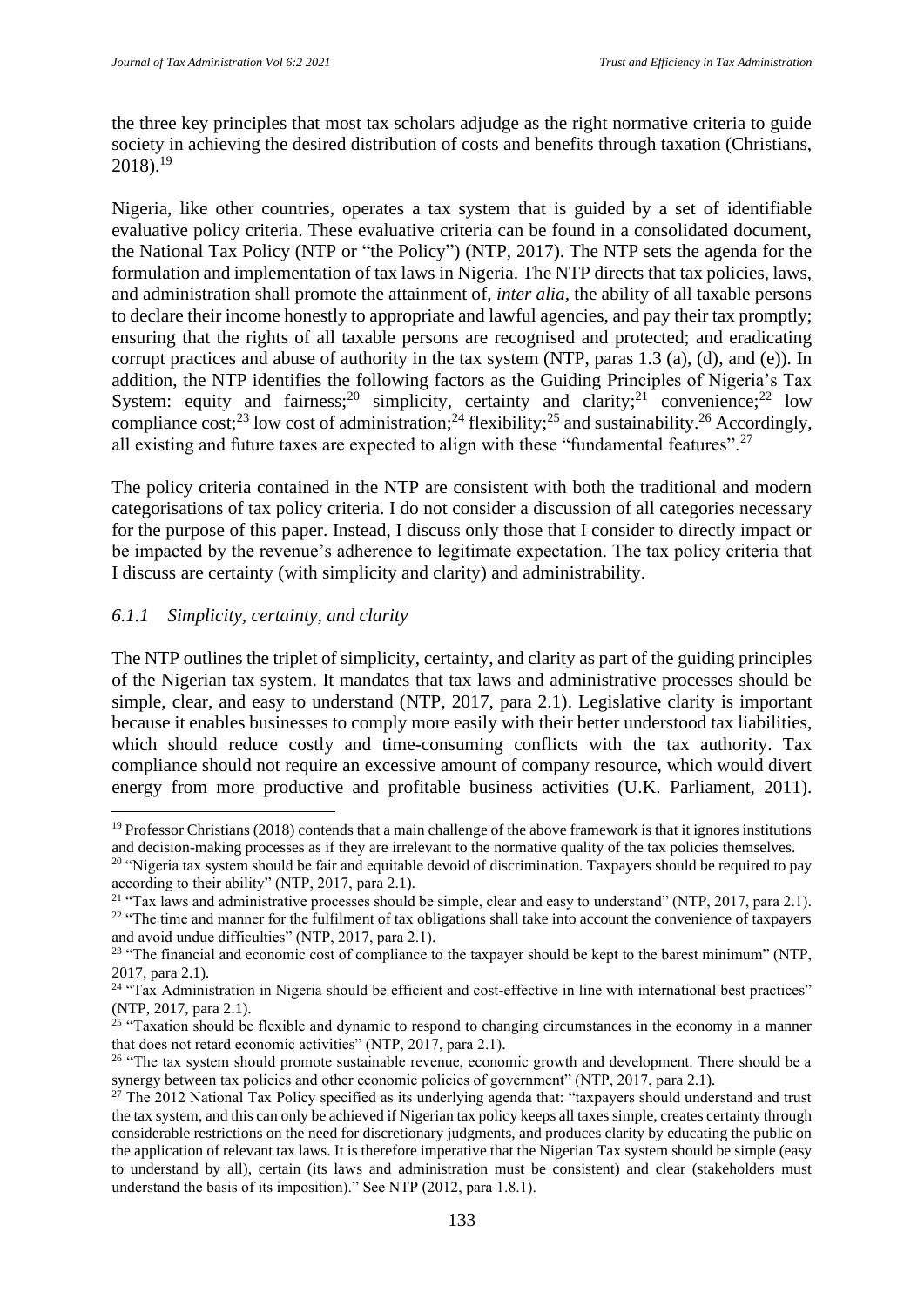the three key principles that most tax scholars adjudge as the right normative criteria to guide society in achieving the desired distribution of costs and benefits through taxation (Christians,  $2018$ .<sup>19</sup>

Nigeria, like other countries, operates a tax system that is guided by a set of identifiable evaluative policy criteria. These evaluative criteria can be found in a consolidated document, the National Tax Policy (NTP or "the Policy") (NTP, 2017). The NTP sets the agenda for the formulation and implementation of tax laws in Nigeria. The NTP directs that tax policies, laws, and administration shall promote the attainment of, *inter alia,* the ability of all taxable persons to declare their income honestly to appropriate and lawful agencies, and pay their tax promptly; ensuring that the rights of all taxable persons are recognised and protected; and eradicating corrupt practices and abuse of authority in the tax system (NTP, paras 1.3 (a), (d), and (e)). In addition, the NTP identifies the following factors as the Guiding Principles of Nigeria's Tax System: equity and fairness;<sup>20</sup> simplicity, certainty and clarity;<sup>21</sup> convenience;<sup>22</sup> low compliance cost;<sup>23</sup> low cost of administration;<sup>24</sup> flexibility;<sup>25</sup> and sustainability.<sup>26</sup> Accordingly, all existing and future taxes are expected to align with these "fundamental features".<sup>27</sup>

The policy criteria contained in the NTP are consistent with both the traditional and modern categorisations of tax policy criteria. I do not consider a discussion of all categories necessary for the purpose of this paper. Instead, I discuss only those that I consider to directly impact or be impacted by the revenue's adherence to legitimate expectation. The tax policy criteria that I discuss are certainty (with simplicity and clarity) and administrability.

## *6.1.1 Simplicity, certainty, and clarity*

The NTP outlines the triplet of simplicity, certainty, and clarity as part of the guiding principles of the Nigerian tax system. It mandates that tax laws and administrative processes should be simple, clear, and easy to understand (NTP, 2017, para 2.1). Legislative clarity is important because it enables businesses to comply more easily with their better understood tax liabilities, which should reduce costly and time-consuming conflicts with the tax authority. Tax compliance should not require an excessive amount of company resource, which would divert energy from more productive and profitable business activities (U.K. Parliament, 2011).

 $19$  Professor Christians (2018) contends that a main challenge of the above framework is that it ignores institutions and decision-making processes as if they are irrelevant to the normative quality of the tax policies themselves.

<sup>&</sup>lt;sup>20</sup> "Nigeria tax system should be fair and equitable devoid of discrimination. Taxpayers should be required to pay according to their ability" (NTP, 2017, para 2.1).

<sup>&</sup>lt;sup>21</sup> "Tax laws and administrative processes should be simple, clear and easy to understand" (NTP, 2017, para 2.1). <sup>22</sup> "The time and manner for the fulfilment of tax obligations shall take into account the convenience of taxpayers and avoid undue difficulties" (NTP, 2017, para 2.1)*.* 

<sup>&</sup>lt;sup>23</sup> "The financial and economic cost of compliance to the taxpayer should be kept to the barest minimum" (NTP, 2017, para 2.1)*.* 

<sup>&</sup>lt;sup>24</sup> "Tax Administration in Nigeria should be efficient and cost-effective in line with international best practices" (NTP, 2017, para 2.1)*.* 

<sup>&</sup>lt;sup>25</sup> "Taxation should be flexible and dynamic to respond to changing circumstances in the economy in a manner that does not retard economic activities" (NTP, 2017, para 2.1)*.* 

<sup>&</sup>lt;sup>26</sup> "The tax system should promote sustainable revenue, economic growth and development. There should be a synergy between tax policies and other economic policies of government" (NTP, 2017, para 2.1)*.*

 $27$  The 2012 National Tax Policy specified as its underlying agenda that: "taxpayers should understand and trust the tax system, and this can only be achieved if Nigerian tax policy keeps all taxes simple, creates certainty through considerable restrictions on the need for discretionary judgments, and produces clarity by educating the public on the application of relevant tax laws. It is therefore imperative that the Nigerian Tax system should be simple (easy to understand by all), certain (its laws and administration must be consistent) and clear (stakeholders must understand the basis of its imposition)." See NTP (2012, para 1.8.1).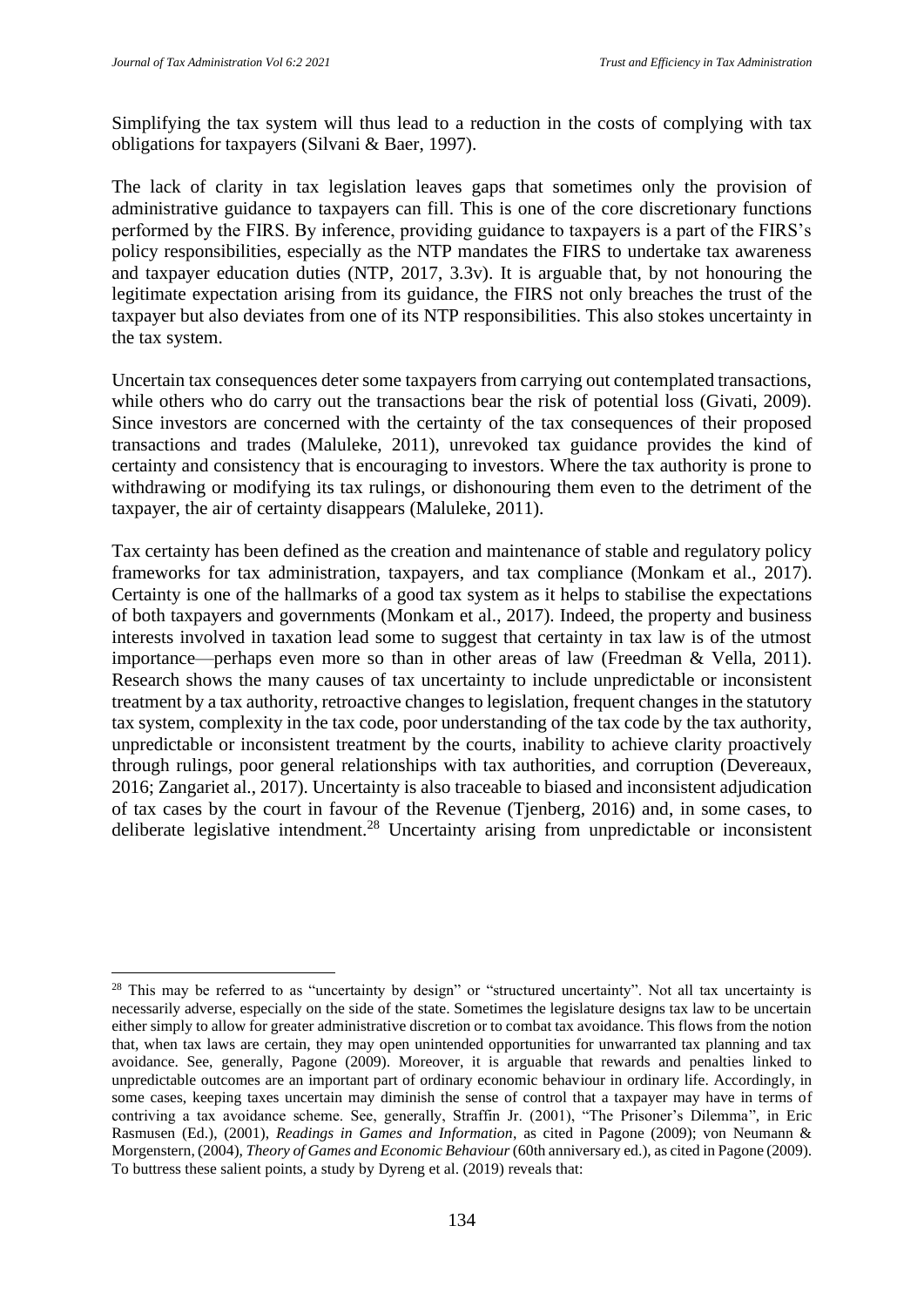Simplifying the tax system will thus lead to a reduction in the costs of complying with tax obligations for taxpayers (Silvani & Baer, 1997).

The lack of clarity in tax legislation leaves gaps that sometimes only the provision of administrative guidance to taxpayers can fill. This is one of the core discretionary functions performed by the FIRS. By inference, providing guidance to taxpayers is a part of the FIRS's policy responsibilities, especially as the NTP mandates the FIRS to undertake tax awareness and taxpayer education duties (NTP, 2017, 3.3v). It is arguable that, by not honouring the legitimate expectation arising from its guidance, the FIRS not only breaches the trust of the taxpayer but also deviates from one of its NTP responsibilities. This also stokes uncertainty in the tax system.

Uncertain tax consequences deter some taxpayers from carrying out contemplated transactions, while others who do carry out the transactions bear the risk of potential loss (Givati, 2009). Since investors are concerned with the certainty of the tax consequences of their proposed transactions and trades (Maluleke, 2011), unrevoked tax guidance provides the kind of certainty and consistency that is encouraging to investors. Where the tax authority is prone to withdrawing or modifying its tax rulings, or dishonouring them even to the detriment of the taxpayer, the air of certainty disappears (Maluleke, 2011).

Tax certainty has been defined as the creation and maintenance of stable and regulatory policy frameworks for tax administration, taxpayers, and tax compliance (Monkam et al., 2017). Certainty is one of the hallmarks of a good tax system as it helps to stabilise the expectations of both taxpayers and governments (Monkam et al., 2017). Indeed, the property and business interests involved in taxation lead some to suggest that certainty in tax law is of the utmost importance—perhaps even more so than in other areas of law (Freedman & Vella, 2011). Research shows the many causes of tax uncertainty to include unpredictable or inconsistent treatment by a tax authority, retroactive changes to legislation, frequent changes in the statutory tax system, complexity in the tax code, poor understanding of the tax code by the tax authority, unpredictable or inconsistent treatment by the courts, inability to achieve clarity proactively through rulings, poor general relationships with tax authorities, and corruption (Devereaux, 2016; Zangariet al., 2017). Uncertainty is also traceable to biased and inconsistent adjudication of tax cases by the court in favour of the Revenue (Tjenberg, 2016) and, in some cases, to deliberate legislative intendment.<sup>28</sup> Uncertainty arising from unpredictable or inconsistent

<sup>&</sup>lt;sup>28</sup> This may be referred to as "uncertainty by design" or "structured uncertainty". Not all tax uncertainty is necessarily adverse, especially on the side of the state. Sometimes the legislature designs tax law to be uncertain either simply to allow for greater administrative discretion or to combat tax avoidance. This flows from the notion that, when tax laws are certain, they may open unintended opportunities for unwarranted tax planning and tax avoidance. See, generally, Pagone (2009). Moreover, it is arguable that rewards and penalties linked to unpredictable outcomes are an important part of ordinary economic behaviour in ordinary life. Accordingly, in some cases, keeping taxes uncertain may diminish the sense of control that a taxpayer may have in terms of contriving a tax avoidance scheme. See, generally, Straffin Jr. (2001), "The Prisoner's Dilemma", in Eric Rasmusen (Ed.), (2001), *Readings in Games and Information*, as cited in Pagone (2009); von Neumann & Morgenstern, (2004), *Theory of Games and Economic Behaviour* (60th anniversary ed.), as cited in Pagone (2009). To buttress these salient points, a study by Dyreng et al. (2019) reveals that: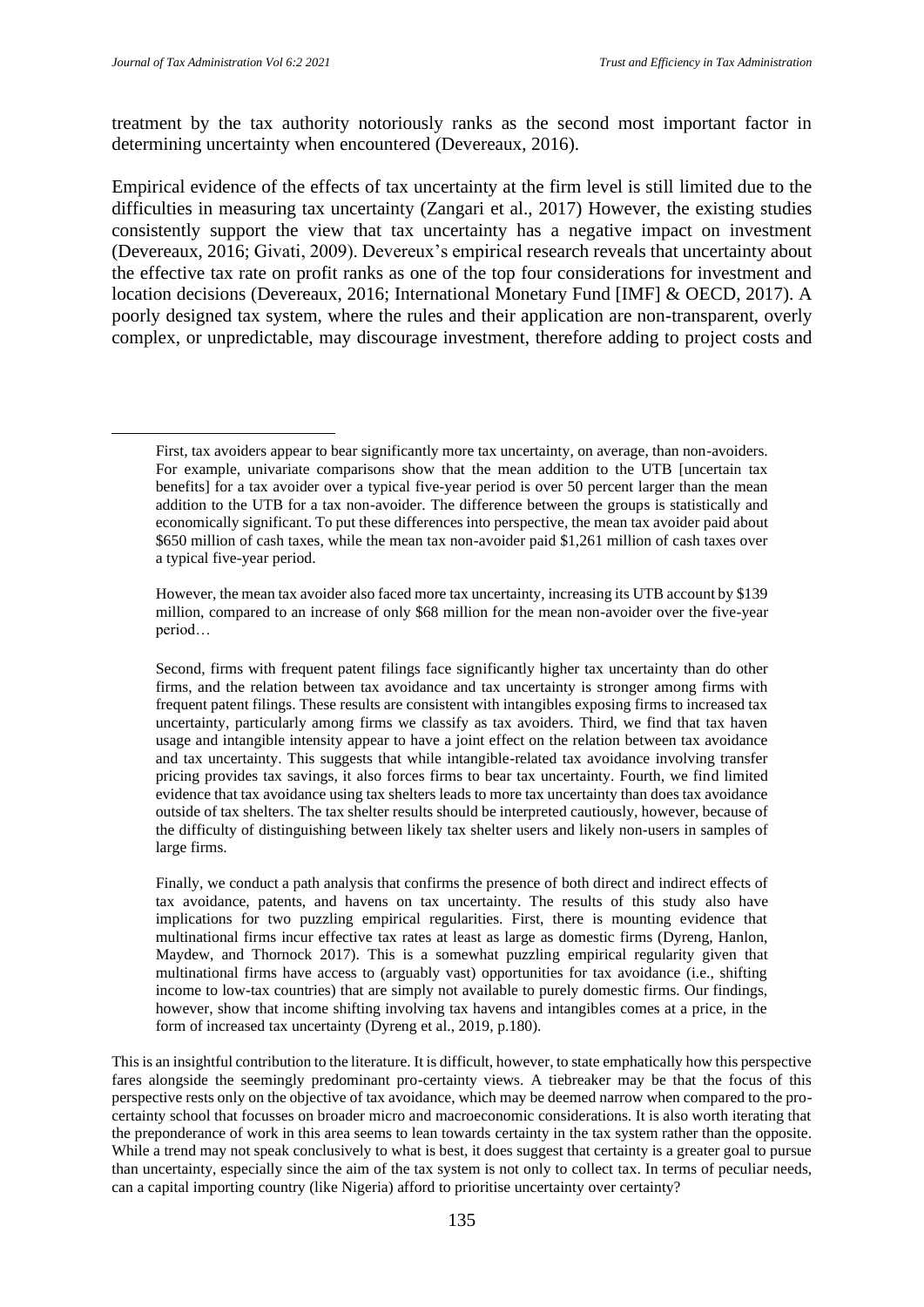treatment by the tax authority notoriously ranks as the second most important factor in determining uncertainty when encountered (Devereaux, 2016).

Empirical evidence of the effects of tax uncertainty at the firm level is still limited due to the difficulties in measuring tax uncertainty (Zangari et al., 2017) However, the existing studies consistently support the view that tax uncertainty has a negative impact on investment (Devereaux, 2016; Givati, 2009). Devereux's empirical research reveals that uncertainty about the effective tax rate on profit ranks as one of the top four considerations for investment and location decisions (Devereaux, 2016; International Monetary Fund [IMF] & OECD, 2017). A poorly designed tax system, where the rules and their application are non-transparent, overly complex, or unpredictable, may discourage investment, therefore adding to project costs and

First, tax avoiders appear to bear significantly more tax uncertainty, on average, than non-avoiders. For example, univariate comparisons show that the mean addition to the UTB [uncertain tax benefits] for a tax avoider over a typical five-year period is over 50 percent larger than the mean addition to the UTB for a tax non-avoider. The difference between the groups is statistically and economically significant. To put these differences into perspective, the mean tax avoider paid about \$650 million of cash taxes, while the mean tax non-avoider paid \$1,261 million of cash taxes over a typical five-year period.

However, the mean tax avoider also faced more tax uncertainty, increasing its UTB account by \$139 million, compared to an increase of only \$68 million for the mean non-avoider over the five-year period…

Second, firms with frequent patent filings face significantly higher tax uncertainty than do other firms, and the relation between tax avoidance and tax uncertainty is stronger among firms with frequent patent filings. These results are consistent with intangibles exposing firms to increased tax uncertainty, particularly among firms we classify as tax avoiders. Third, we find that tax haven usage and intangible intensity appear to have a joint effect on the relation between tax avoidance and tax uncertainty. This suggests that while intangible-related tax avoidance involving transfer pricing provides tax savings, it also forces firms to bear tax uncertainty. Fourth, we find limited evidence that tax avoidance using tax shelters leads to more tax uncertainty than does tax avoidance outside of tax shelters. The tax shelter results should be interpreted cautiously, however, because of the difficulty of distinguishing between likely tax shelter users and likely non-users in samples of large firms.

Finally, we conduct a path analysis that confirms the presence of both direct and indirect effects of tax avoidance, patents, and havens on tax uncertainty. The results of this study also have implications for two puzzling empirical regularities. First, there is mounting evidence that multinational firms incur effective tax rates at least as large as domestic firms (Dyreng, Hanlon, Maydew, and Thornock 2017). This is a somewhat puzzling empirical regularity given that multinational firms have access to (arguably vast) opportunities for tax avoidance (i.e., shifting income to low-tax countries) that are simply not available to purely domestic firms. Our findings, however, show that income shifting involving tax havens and intangibles comes at a price, in the form of increased tax uncertainty (Dyreng et al., 2019, p.180).

This is an insightful contribution to the literature. It is difficult, however, to state emphatically how this perspective fares alongside the seemingly predominant pro-certainty views. A tiebreaker may be that the focus of this perspective rests only on the objective of tax avoidance, which may be deemed narrow when compared to the procertainty school that focusses on broader micro and macroeconomic considerations. It is also worth iterating that the preponderance of work in this area seems to lean towards certainty in the tax system rather than the opposite. While a trend may not speak conclusively to what is best, it does suggest that certainty is a greater goal to pursue than uncertainty, especially since the aim of the tax system is not only to collect tax. In terms of peculiar needs, can a capital importing country (like Nigeria) afford to prioritise uncertainty over certainty?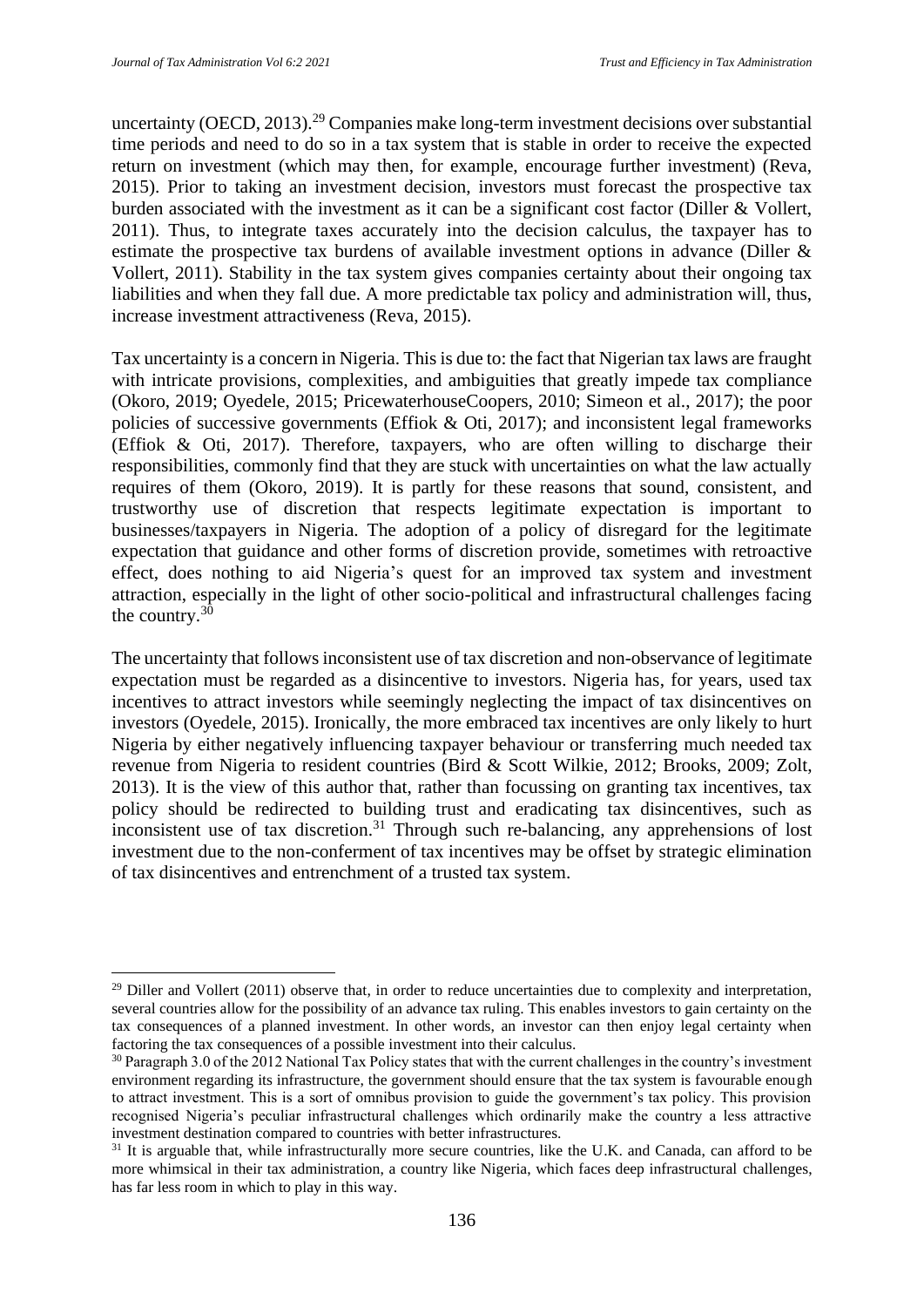uncertainty (OECD, 2013).<sup>29</sup> Companies make long-term investment decisions over substantial time periods and need to do so in a tax system that is stable in order to receive the expected return on investment (which may then, for example, encourage further investment) (Reva, 2015). Prior to taking an investment decision, investors must forecast the prospective tax burden associated with the investment as it can be a significant cost factor (Diller & Vollert, 2011). Thus, to integrate taxes accurately into the decision calculus, the taxpayer has to estimate the prospective tax burdens of available investment options in advance (Diller & Vollert, 2011). Stability in the tax system gives companies certainty about their ongoing tax liabilities and when they fall due. A more predictable tax policy and administration will, thus, increase investment attractiveness (Reva, 2015).

Tax uncertainty is a concern in Nigeria. This is due to: the fact that Nigerian tax laws are fraught with intricate provisions, complexities, and ambiguities that greatly impede tax compliance (Okoro, 2019; Oyedele, 2015; PricewaterhouseCoopers, 2010; Simeon et al., 2017); the poor policies of successive governments (Effiok & Oti, 2017); and inconsistent legal frameworks (Effiok & Oti, 2017). Therefore, taxpayers, who are often willing to discharge their responsibilities, commonly find that they are stuck with uncertainties on what the law actually requires of them (Okoro, 2019). It is partly for these reasons that sound, consistent, and trustworthy use of discretion that respects legitimate expectation is important to businesses/taxpayers in Nigeria. The adoption of a policy of disregard for the legitimate expectation that guidance and other forms of discretion provide, sometimes with retroactive effect, does nothing to aid Nigeria's quest for an improved tax system and investment attraction, especially in the light of other socio-political and infrastructural challenges facing the country.<sup>30</sup>

The uncertainty that follows inconsistent use of tax discretion and non-observance of legitimate expectation must be regarded as a disincentive to investors. Nigeria has, for years, used tax incentives to attract investors while seemingly neglecting the impact of tax disincentives on investors (Oyedele, 2015). Ironically, the more embraced tax incentives are only likely to hurt Nigeria by either negatively influencing taxpayer behaviour or transferring much needed tax revenue from Nigeria to resident countries (Bird & Scott Wilkie, 2012; Brooks, 2009; Zolt, 2013). It is the view of this author that, rather than focussing on granting tax incentives, tax policy should be redirected to building trust and eradicating tax disincentives, such as inconsistent use of tax discretion.<sup>31</sup> Through such re-balancing, any apprehensions of lost investment due to the non-conferment of tax incentives may be offset by strategic elimination of tax disincentives and entrenchment of a trusted tax system.

 $^{29}$  Diller and Vollert (2011) observe that, in order to reduce uncertainties due to complexity and interpretation, several countries allow for the possibility of an advance tax ruling. This enables investors to gain certainty on the tax consequences of a planned investment. In other words, an investor can then enjoy legal certainty when factoring the tax consequences of a possible investment into their calculus.

<sup>&</sup>lt;sup>30</sup> Paragraph 3.0 of the 2012 National Tax Policy states that with the current challenges in the country's investment environment regarding its infrastructure, the government should ensure that the tax system is favourable enough to attract investment. This is a sort of omnibus provision to guide the government's tax policy. This provision recognised Nigeria's peculiar infrastructural challenges which ordinarily make the country a less attractive investment destination compared to countries with better infrastructures.

<sup>&</sup>lt;sup>31</sup> It is arguable that, while infrastructurally more secure countries, like the U.K. and Canada, can afford to be more whimsical in their tax administration, a country like Nigeria, which faces deep infrastructural challenges, has far less room in which to play in this way.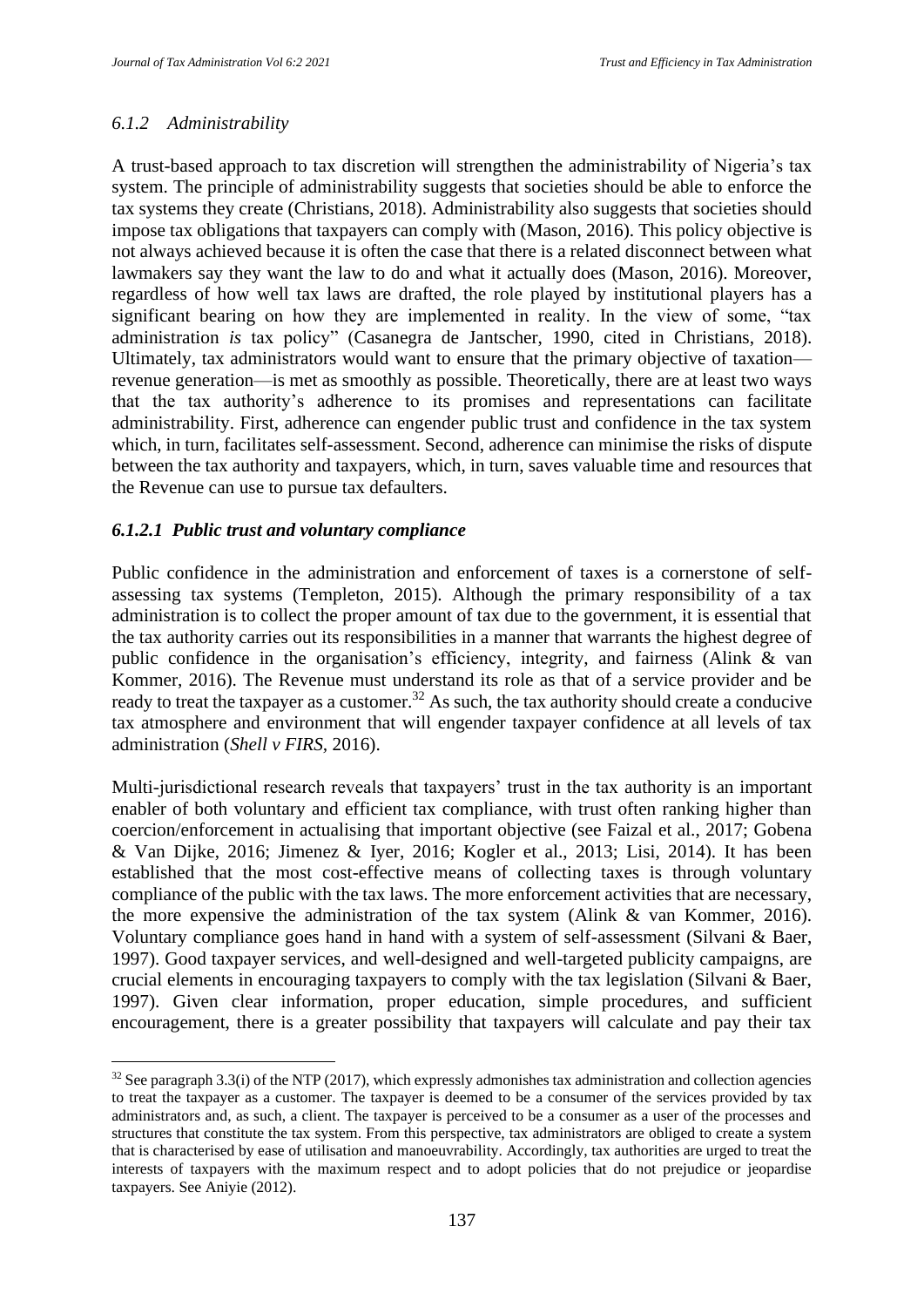#### *6.1.2 Administrability*

A trust-based approach to tax discretion will strengthen the administrability of Nigeria's tax system. The principle of administrability suggests that societies should be able to enforce the tax systems they create (Christians, 2018). Administrability also suggests that societies should impose tax obligations that taxpayers can comply with (Mason, 2016). This policy objective is not always achieved because it is often the case that there is a related disconnect between what lawmakers say they want the law to do and what it actually does (Mason, 2016). Moreover, regardless of how well tax laws are drafted, the role played by institutional players has a significant bearing on how they are implemented in reality. In the view of some, "tax administration *is* tax policy" (Casanegra de Jantscher, 1990, cited in Christians, 2018). Ultimately, tax administrators would want to ensure that the primary objective of taxation revenue generation—is met as smoothly as possible. Theoretically, there are at least two ways that the tax authority's adherence to its promises and representations can facilitate administrability. First, adherence can engender public trust and confidence in the tax system which, in turn, facilitates self-assessment. Second, adherence can minimise the risks of dispute between the tax authority and taxpayers, which, in turn, saves valuable time and resources that the Revenue can use to pursue tax defaulters.

#### *6.1.2.1 Public trust and voluntary compliance*

Public confidence in the administration and enforcement of taxes is a cornerstone of selfassessing tax systems (Templeton, 2015). Although the primary responsibility of a tax administration is to collect the proper amount of tax due to the government, it is essential that the tax authority carries out its responsibilities in a manner that warrants the highest degree of public confidence in the organisation's efficiency, integrity, and fairness (Alink & van Kommer, 2016). The Revenue must understand its role as that of a service provider and be ready to treat the taxpayer as a customer.<sup>32</sup> As such, the tax authority should create a conducive tax atmosphere and environment that will engender taxpayer confidence at all levels of tax administration (*Shell v FIRS,* 2016).

Multi-jurisdictional research reveals that taxpayers' trust in the tax authority is an important enabler of both voluntary and efficient tax compliance, with trust often ranking higher than coercion/enforcement in actualising that important objective (see Faizal et al., 2017; Gobena & Van Dijke, 2016; Jimenez & Iyer, 2016; Kogler et al., 2013; Lisi, 2014). It has been established that the most cost-effective means of collecting taxes is through voluntary compliance of the public with the tax laws. The more enforcement activities that are necessary, the more expensive the administration of the tax system (Alink & van Kommer, 2016). Voluntary compliance goes hand in hand with a system of self-assessment (Silvani & Baer, 1997). Good taxpayer services, and well-designed and well-targeted publicity campaigns, are crucial elements in encouraging taxpayers to comply with the tax legislation (Silvani & Baer, 1997). Given clear information, proper education, simple procedures, and sufficient encouragement, there is a greater possibility that taxpayers will calculate and pay their tax

 $32$  See paragraph 3.3(i) of the NTP (2017), which expressly admonishes tax administration and collection agencies to treat the taxpayer as a customer. The taxpayer is deemed to be a consumer of the services provided by tax administrators and, as such, a client. The taxpayer is perceived to be a consumer as a user of the processes and structures that constitute the tax system. From this perspective, tax administrators are obliged to create a system that is characterised by ease of utilisation and manoeuvrability. Accordingly, tax authorities are urged to treat the interests of taxpayers with the maximum respect and to adopt policies that do not prejudice or jeopardise taxpayers. See Aniyie (2012).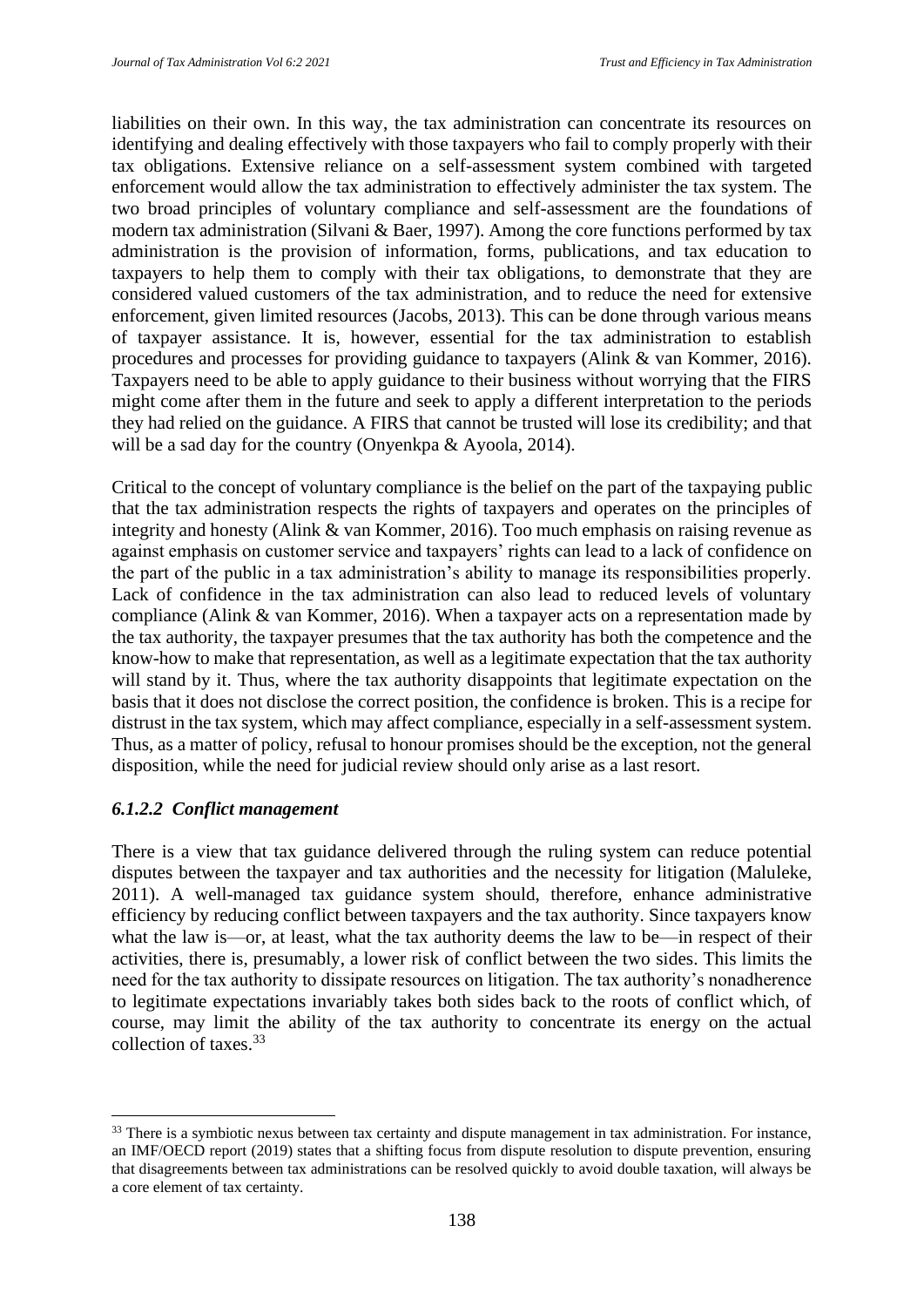liabilities on their own. In this way, the tax administration can concentrate its resources on identifying and dealing effectively with those taxpayers who fail to comply properly with their tax obligations. Extensive reliance on a self-assessment system combined with targeted enforcement would allow the tax administration to effectively administer the tax system. The two broad principles of voluntary compliance and self-assessment are the foundations of modern tax administration (Silvani & Baer, 1997). Among the core functions performed by tax administration is the provision of information, forms, publications, and tax education to taxpayers to help them to comply with their tax obligations, to demonstrate that they are considered valued customers of the tax administration, and to reduce the need for extensive enforcement, given limited resources (Jacobs, 2013). This can be done through various means of taxpayer assistance. It is, however, essential for the tax administration to establish procedures and processes for providing guidance to taxpayers (Alink & van Kommer, 2016). Taxpayers need to be able to apply guidance to their business without worrying that the FIRS might come after them in the future and seek to apply a different interpretation to the periods they had relied on the guidance. A FIRS that cannot be trusted will lose its credibility; and that will be a sad day for the country (Onyenkpa & Ayoola, 2014).

Critical to the concept of voluntary compliance is the belief on the part of the taxpaying public that the tax administration respects the rights of taxpayers and operates on the principles of integrity and honesty (Alink & van Kommer, 2016). Too much emphasis on raising revenue as against emphasis on customer service and taxpayers' rights can lead to a lack of confidence on the part of the public in a tax administration's ability to manage its responsibilities properly. Lack of confidence in the tax administration can also lead to reduced levels of voluntary compliance (Alink & van Kommer, 2016). When a taxpayer acts on a representation made by the tax authority, the taxpayer presumes that the tax authority has both the competence and the know-how to make that representation, as well as a legitimate expectation that the tax authority will stand by it. Thus, where the tax authority disappoints that legitimate expectation on the basis that it does not disclose the correct position, the confidence is broken. This is a recipe for distrust in the tax system, which may affect compliance, especially in a self-assessment system. Thus, as a matter of policy, refusal to honour promises should be the exception, not the general disposition, while the need for judicial review should only arise as a last resort.

#### *6.1.2.2 Conflict management*

There is a view that tax guidance delivered through the ruling system can reduce potential disputes between the taxpayer and tax authorities and the necessity for litigation (Maluleke, 2011). A well-managed tax guidance system should, therefore, enhance administrative efficiency by reducing conflict between taxpayers and the tax authority. Since taxpayers know what the law is—or, at least, what the tax authority deems the law to be—in respect of their activities, there is, presumably, a lower risk of conflict between the two sides. This limits the need for the tax authority to dissipate resources on litigation. The tax authority's nonadherence to legitimate expectations invariably takes both sides back to the roots of conflict which, of course, may limit the ability of the tax authority to concentrate its energy on the actual collection of taxes.<sup>33</sup>

<sup>&</sup>lt;sup>33</sup> There is a symbiotic nexus between tax certainty and dispute management in tax administration. For instance, an IMF/OECD report (2019) states that a shifting focus from dispute resolution to dispute prevention, ensuring that disagreements between tax administrations can be resolved quickly to avoid double taxation, will always be a core element of tax certainty.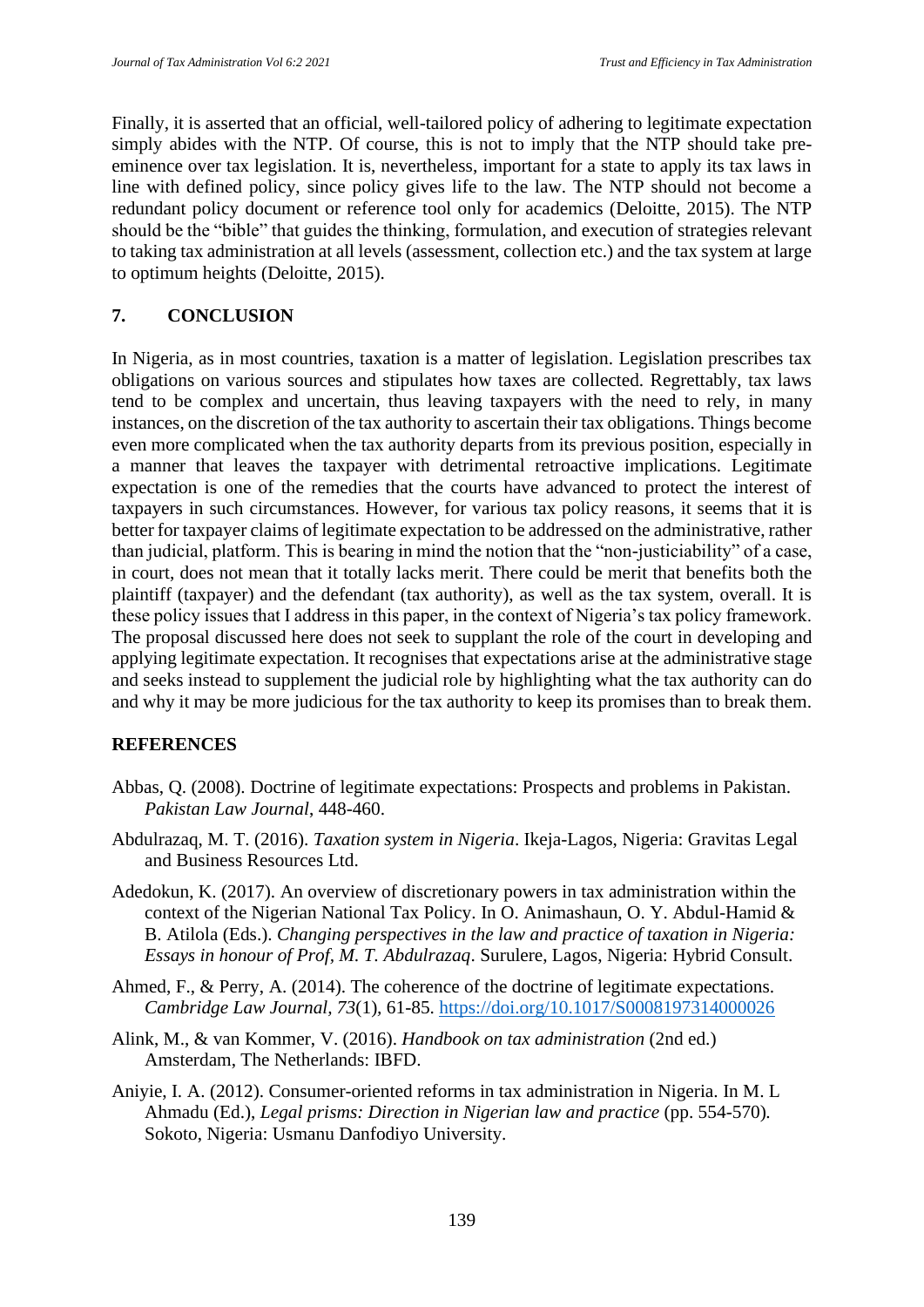Finally, it is asserted that an official, well-tailored policy of adhering to legitimate expectation simply abides with the NTP. Of course, this is not to imply that the NTP should take preeminence over tax legislation. It is, nevertheless, important for a state to apply its tax laws in line with defined policy, since policy gives life to the law. The NTP should not become a redundant policy document or reference tool only for academics (Deloitte, 2015). The NTP should be the "bible" that guides the thinking, formulation, and execution of strategies relevant to taking tax administration at all levels (assessment, collection etc.) and the tax system at large to optimum heights (Deloitte, 2015).

## **7. CONCLUSION**

In Nigeria, as in most countries, taxation is a matter of legislation. Legislation prescribes tax obligations on various sources and stipulates how taxes are collected. Regrettably, tax laws tend to be complex and uncertain, thus leaving taxpayers with the need to rely, in many instances, on the discretion of the tax authority to ascertain their tax obligations. Things become even more complicated when the tax authority departs from its previous position, especially in a manner that leaves the taxpayer with detrimental retroactive implications. Legitimate expectation is one of the remedies that the courts have advanced to protect the interest of taxpayers in such circumstances. However, for various tax policy reasons, it seems that it is better for taxpayer claims of legitimate expectation to be addressed on the administrative, rather than judicial, platform. This is bearing in mind the notion that the "non-justiciability" of a case, in court, does not mean that it totally lacks merit. There could be merit that benefits both the plaintiff (taxpayer) and the defendant (tax authority), as well as the tax system, overall. It is these policy issues that I address in this paper, in the context of Nigeria's tax policy framework. The proposal discussed here does not seek to supplant the role of the court in developing and applying legitimate expectation. It recognises that expectations arise at the administrative stage and seeks instead to supplement the judicial role by highlighting what the tax authority can do and why it may be more judicious for the tax authority to keep its promises than to break them.

#### **REFERENCES**

- Abbas, Q. (2008). Doctrine of legitimate expectations: Prospects and problems in Pakistan. *Pakistan Law Journal*, 448-460.
- Abdulrazaq, M. T. (2016). *Taxation system in Nigeria*. Ikeja-Lagos, Nigeria: Gravitas Legal and Business Resources Ltd.
- Adedokun, K. (2017). An overview of discretionary powers in tax administration within the context of the Nigerian National Tax Policy. In O. Animashaun, O. Y. Abdul-Hamid & B. Atilola (Eds.). *Changing perspectives in the law and practice of taxation in Nigeria: Essays in honour of Prof, M. T. Abdulrazaq*. Surulere, Lagos, Nigeria: Hybrid Consult.
- Ahmed, F., & Perry, A. (2014). The coherence of the doctrine of legitimate expectations. *Cambridge Law Journal, 73*(1)*,* 61-85. https://doi.org/10.1017/S0008197314000026
- Alink, M., & van Kommer, V. (2016). *Handbook on tax administration* (2nd ed.) Amsterdam, The Netherlands: IBFD.
- Aniyie, I. A. (2012). Consumer-oriented reforms in tax administration in Nigeria. In M. L Ahmadu (Ed.), *Legal prisms: Direction in Nigerian law and practice* (pp. 554-570)*.*  Sokoto, Nigeria: Usmanu Danfodiyo University.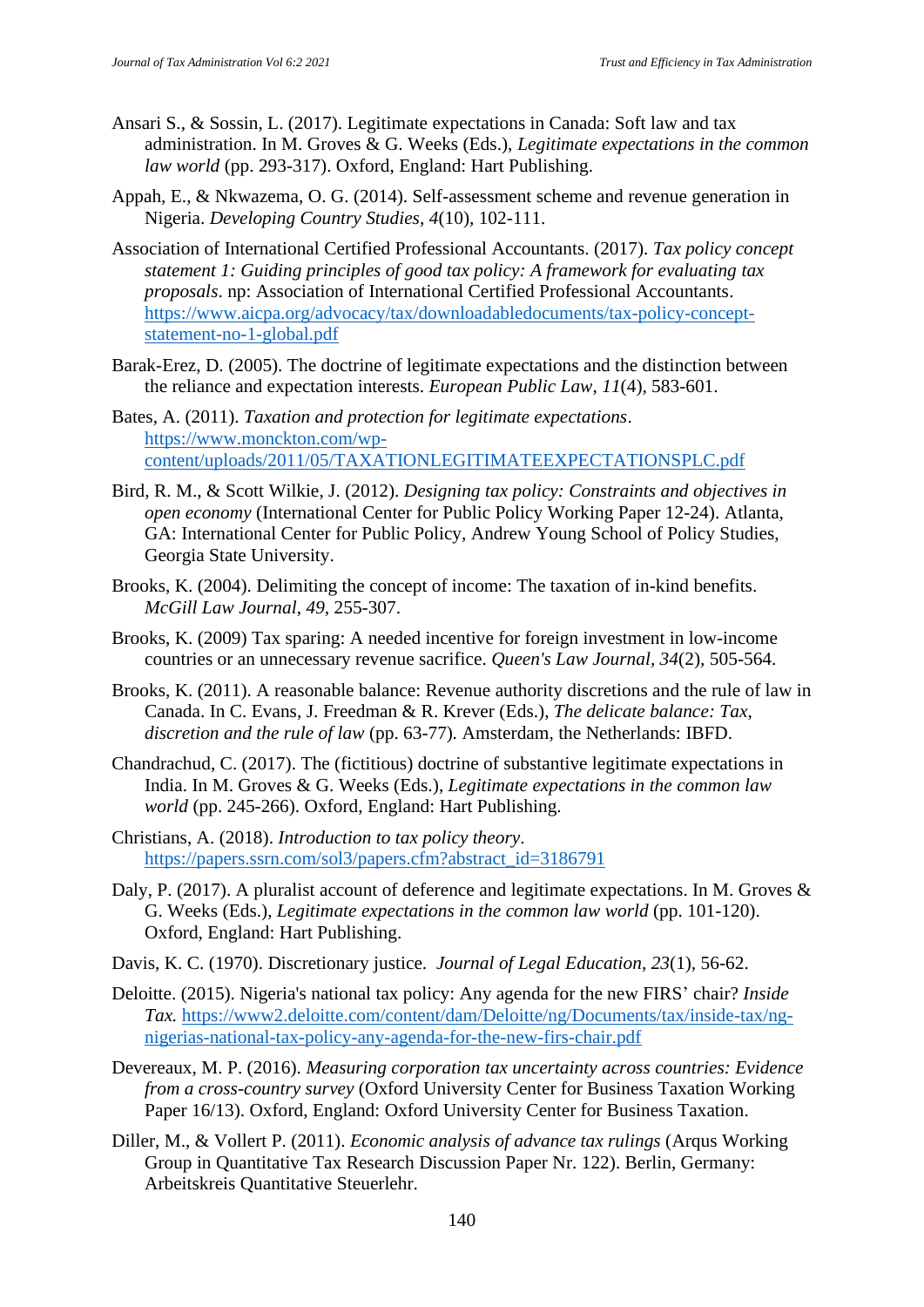- Ansari S., & Sossin, L. (2017). Legitimate expectations in Canada: Soft law and tax administration. In M. Groves & G. Weeks (Eds.), *Legitimate expectations in the common law world* (pp. 293-317). Oxford, England: Hart Publishing.
- Appah, E., & Nkwazema, O. G. (2014). Self-assessment scheme and revenue generation in Nigeria. *Developing Country Studies*, *4*(10)*,* 102-111.
- Association of International Certified Professional Accountants. (2017). *Tax policy concept statement 1: Guiding principles of good tax policy: A framework for evaluating tax proposals*. np: Association of International Certified Professional Accountants. https://www.aicpa.org/advocacy/tax/downloadabledocuments/tax-policy-conceptstatement-no-1-global.pdf
- Barak-Erez, D. (2005). The doctrine of legitimate expectations and the distinction between the reliance and expectation interests. *European Public Law*, *11*(4)*,* 583-601.
- Bates, A. (2011). *Taxation and protection for legitimate expectations*. https://www.monckton.com/wpcontent/uploads/2011/05/TAXATIONLEGITIMATEEXPECTATIONSPLC.pdf
- Bird, R. M., & Scott Wilkie, J. (2012). *Designing tax policy: Constraints and objectives in open economy* (International Center for Public Policy Working Paper 12-24). Atlanta, GA: International Center for Public Policy, Andrew Young School of Policy Studies, Georgia State University.
- Brooks, K. (2004). Delimiting the concept of income: The taxation of in-kind benefits. *McGill Law Journal*, *49,* 255-307.
- Brooks, K. (2009) Tax sparing: A needed incentive for foreign investment in low-income countries or an unnecessary revenue sacrifice. *Queen's Law Journal, 34*(2)*,* 505-564.
- Brooks, K. (2011). A reasonable balance: Revenue authority discretions and the rule of law in Canada. In C. Evans, J. Freedman & R. Krever (Eds.), *The delicate balance: Tax, discretion and the rule of law* (pp. 63-77)*.* Amsterdam, the Netherlands: IBFD.
- Chandrachud, C. (2017). The (fictitious) doctrine of substantive legitimate expectations in India. In M. Groves & G. Weeks (Eds.), *Legitimate expectations in the common law world* (pp. 245-266). Oxford, England: Hart Publishing.
- Christians, A. (2018). *Introduction to tax policy theory*. https://papers.ssrn.com/sol3/papers.cfm?abstract\_id=3186791
- Daly, P. (2017). A pluralist account of deference and legitimate expectations. In M. Groves & G. Weeks (Eds.), *Legitimate expectations in the common law world* (pp. 101-120). Oxford, England: Hart Publishing.
- Davis, K. C. (1970). Discretionary justice. *Journal of Legal Education*, *23*(1)*,* 56-62.
- Deloitte. (2015). Nigeria's national tax policy: Any agenda for the new FIRS' chair? *Inside Tax.* https://www2.deloitte.com/content/dam/Deloitte/ng/Documents/tax/inside-tax/ngnigerias-national-tax-policy-any-agenda-for-the-new-firs-chair.pdf
- Devereaux, M. P. (2016). *Measuring corporation tax uncertainty across countries: Evidence from a cross-country survey* (Oxford University Center for Business Taxation Working Paper 16/13). Oxford, England: Oxford University Center for Business Taxation.
- Diller, M., & Vollert P. (2011). *Economic analysis of advance tax rulings* (Arqus Working Group in Quantitative Tax Research Discussion Paper Nr. 122). Berlin, Germany: Arbeitskreis Quantitative Steuerlehr.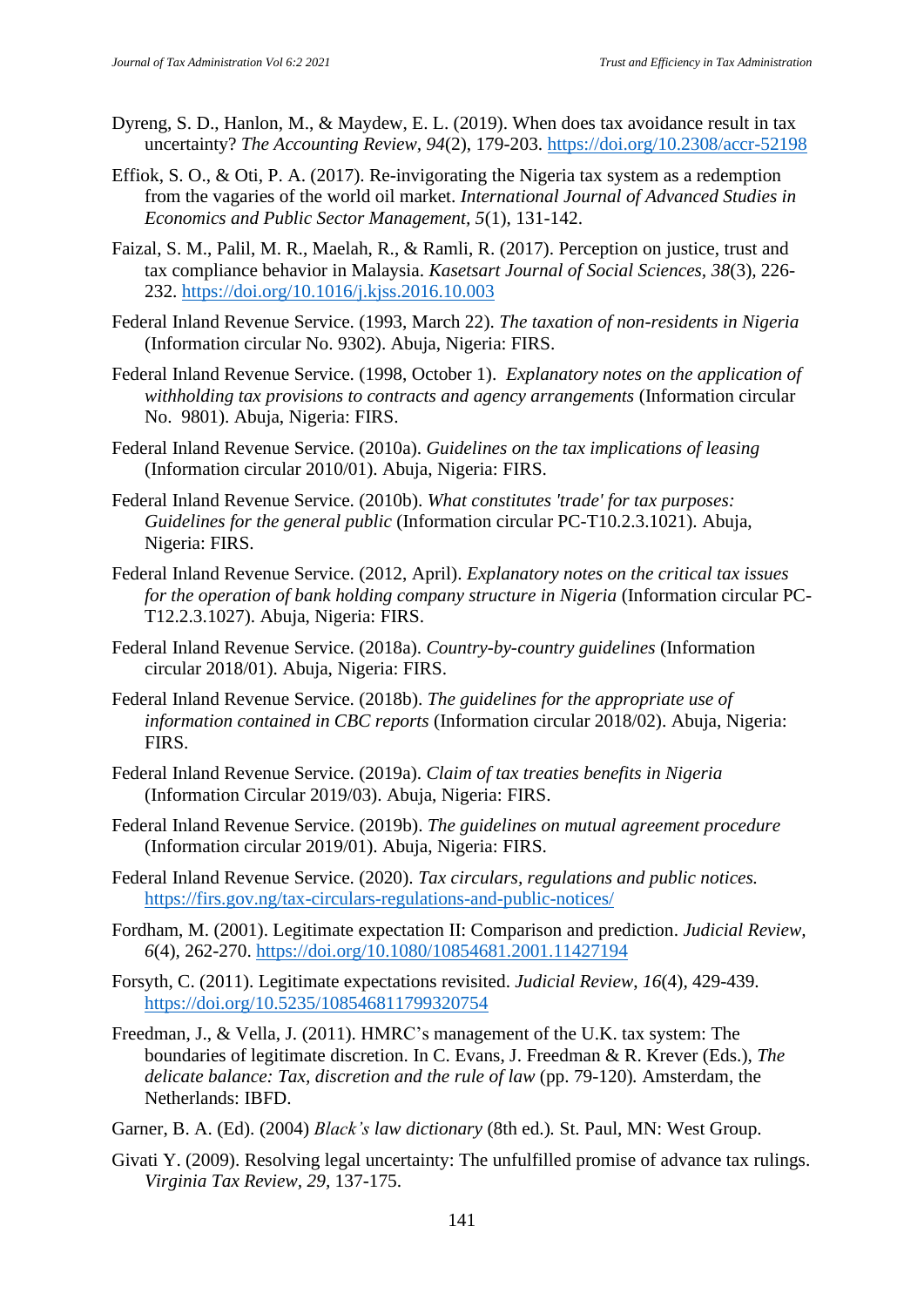- Dyreng, S. D., Hanlon, M., & Maydew, E. L. (2019). When does tax avoidance result in tax uncertainty? *The Accounting Review, 94*(2), 179-203. https://doi.org/10.2308/accr-52198
- Effiok, S. O., & Oti, P. A. (2017). Re-invigorating the Nigeria tax system as a redemption from the vagaries of the world oil market. *International Journal of Advanced Studies in Economics and Public Sector Management, 5*(1), 131-142.
- Faizal, S. M., Palil, M. R., Maelah, R., & Ramli, R. (2017). Perception on justice, trust and tax compliance behavior in Malaysia. *Kasetsart Journal of Social Sciences, 38*(3)*,* 226- 232. https://doi.org/10.1016/j.kjss.2016.10.003
- Federal Inland Revenue Service. (1993, March 22). *The taxation of non-residents in Nigeria* (Information circular No. 9302). Abuja, Nigeria: FIRS.
- Federal Inland Revenue Service. (1998, October 1). *Explanatory notes on the application of withholding tax provisions to contracts and agency arrangements* (Information circular No. 9801). Abuja, Nigeria: FIRS.
- Federal Inland Revenue Service. (2010a). *Guidelines on the tax implications of leasing* (Information circular 2010/01). Abuja, Nigeria: FIRS.
- Federal Inland Revenue Service. (2010b). *What constitutes 'trade' for tax purposes: Guidelines for the general public* (Information circular PC-T10.2.3.1021). Abuja, Nigeria: FIRS.
- Federal Inland Revenue Service. (2012, April). *Explanatory notes on the critical tax issues for the operation of bank holding company structure in Nigeria* (Information circular PC-T12.2.3.1027). Abuja, Nigeria: FIRS.
- Federal Inland Revenue Service. (2018a). *Country-by-country guidelines* (Information circular 2018/01). Abuja, Nigeria: FIRS.
- Federal Inland Revenue Service. (2018b). *The guidelines for the appropriate use of information contained in CBC reports* (Information circular 2018/02). Abuja, Nigeria: FIRS.
- Federal Inland Revenue Service. (2019a). *Claim of tax treaties benefits in Nigeria* (Information Circular 2019/03). Abuja, Nigeria: FIRS.
- Federal Inland Revenue Service. (2019b). *The guidelines on mutual agreement procedure* (Information circular 2019/01). Abuja, Nigeria: FIRS.
- Federal Inland Revenue Service. (2020). *Tax circulars, regulations and public notices.* https://firs.gov.ng/tax-circulars-regulations-and-public-notices/
- Fordham, M. (2001). Legitimate expectation II: Comparison and prediction. *Judicial Review, 6*(4)*,* 262-270. https://doi.org/10.1080/10854681.2001.11427194
- Forsyth, C. (2011). Legitimate expectations revisited. *Judicial Review*, *16*(4)*,* 429-439. https://doi.org/10.5235/108546811799320754
- Freedman, J., & Vella, J. (2011). HMRC's management of the U.K. tax system: The boundaries of legitimate discretion. In C. Evans, J. Freedman & R. Krever (Eds.), *The delicate balance: Tax, discretion and the rule of law* (pp. 79-120)*.* Amsterdam, the Netherlands: IBFD.
- Garner, B. A. (Ed). (2004) *Black's law dictionary* (8th ed.)*.* St. Paul, MN: West Group.
- Givati Y. (2009). Resolving legal uncertainty: The unfulfilled promise of advance tax rulings. *Virginia Tax Review, 29,* 137-175.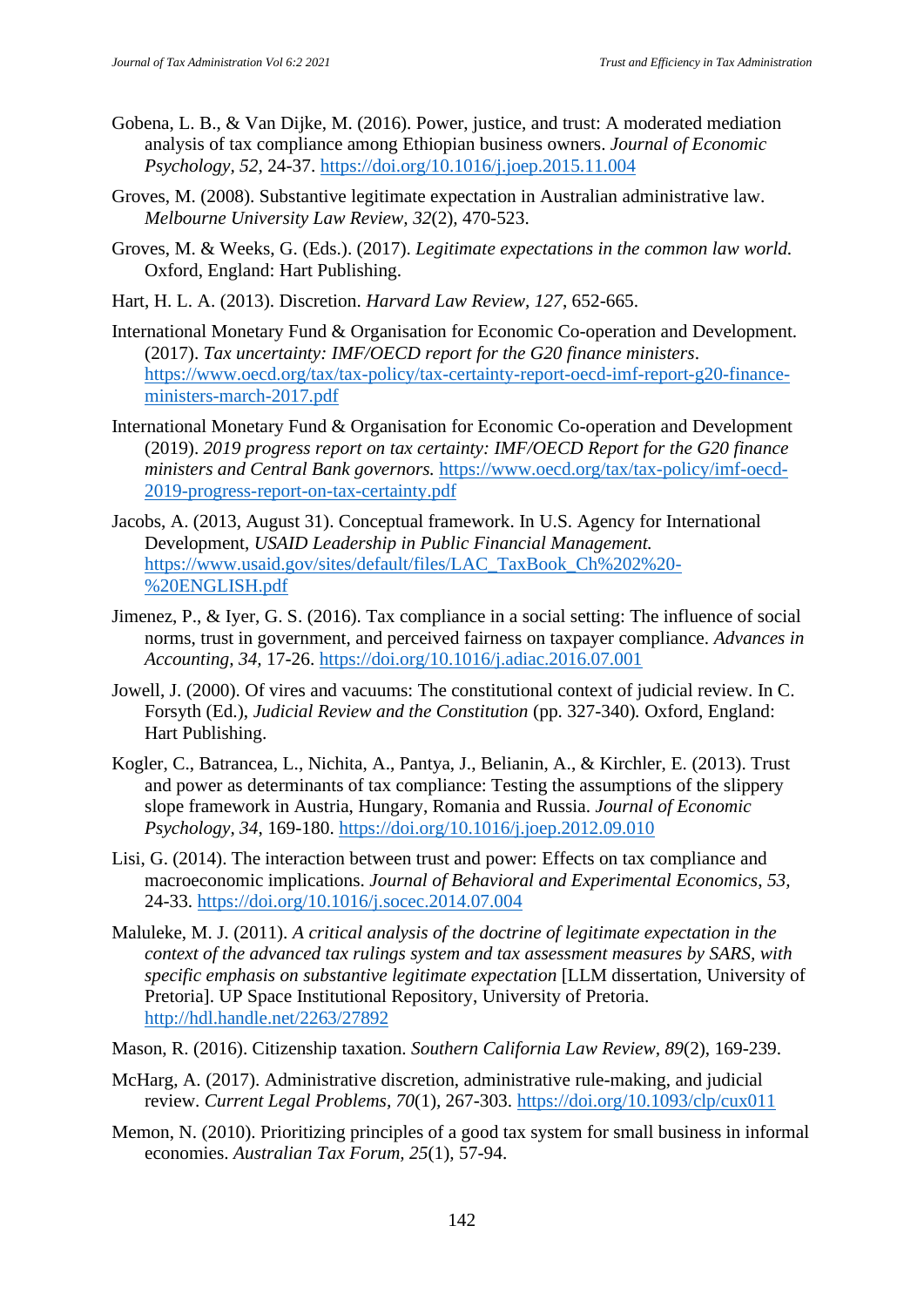- Gobena, L. B., & Van Dijke, M. (2016). Power, justice, and trust: A moderated mediation analysis of tax compliance among Ethiopian business owners. *Journal of Economic Psychology, 52,* 24-37. https://doi.org/10.1016/j.joep.2015.11.004
- Groves, M. (2008). Substantive legitimate expectation in Australian administrative law. *Melbourne University Law Review, 32*(2)*,* 470-523.
- Groves, M. & Weeks, G. (Eds.). (2017). *Legitimate expectations in the common law world.*  Oxford, England: Hart Publishing.
- Hart, H. L. A. (2013). Discretion. *Harvard Law Review, 127*, 652-665.
- International Monetary Fund & Organisation for Economic Co-operation and Development. (2017). *Tax uncertainty: IMF/OECD report for the G20 finance ministers*. https://www.oecd.org/tax/tax-policy/tax-certainty-report-oecd-imf-report-g20-financeministers-march-2017.pdf
- International Monetary Fund & Organisation for Economic Co-operation and Development (2019). *2019 progress report on tax certainty: IMF/OECD Report for the G20 finance ministers and Central Bank governors.* https://www.oecd.org/tax/tax-policy/imf-oecd-2019-progress-report-on-tax-certainty.pdf
- Jacobs, A. (2013, August 31). Conceptual framework. In U.S. Agency for International Development, *USAID Leadership in Public Financial Management.* https://www.usaid.gov/sites/default/files/LAC\_TaxBook\_Ch%202%20- %20ENGLISH.pdf
- Jimenez, P., & Iyer, G. S. (2016). Tax compliance in a social setting: The influence of social norms, trust in government, and perceived fairness on taxpayer compliance. *Advances in Accounting, 34,* 17-26. https://doi.org/10.1016/j.adiac.2016.07.001
- Jowell, J. (2000). Of vires and vacuums: The constitutional context of judicial review. In C. Forsyth (Ed.), *Judicial Review and the Constitution* (pp. 327-340)*.* Oxford, England: Hart Publishing.
- Kogler, C., Batrancea, L., Nichita, A., Pantya, J., Belianin, A., & Kirchler, E. (2013). Trust and power as determinants of tax compliance: Testing the assumptions of the slippery slope framework in Austria, Hungary, Romania and Russia. *Journal of Economic Psychology, 34*, 169-180. https://doi.org/10.1016/j.joep.2012.09.010
- Lisi, G. (2014). The interaction between trust and power: Effects on tax compliance and macroeconomic implications. *Journal of Behavioral and Experimental Economics*, *53,* 24-33. https://doi.org/10.1016/j.socec.2014.07.004
- Maluleke, M. J. (2011). *A critical analysis of the doctrine of legitimate expectation in the context of the advanced tax rulings system and tax assessment measures by SARS, with specific emphasis on substantive legitimate expectation* [LLM dissertation, University of Pretoria]. UP Space Institutional Repository, University of Pretoria. http://hdl.handle.net/2263/27892
- Mason, R. (2016). Citizenship taxation. *Southern California Law Review, 89*(2), 169-239.
- McHarg, A. (2017). Administrative discretion, administrative rule-making, and judicial review. *Current Legal Problems, 70*(1)*,* 267-303. https://doi.org/10.1093/clp/cux011
- Memon, N. (2010). Prioritizing principles of a good tax system for small business in informal economies. *Australian Tax Forum, 25*(1)*,* 57-94.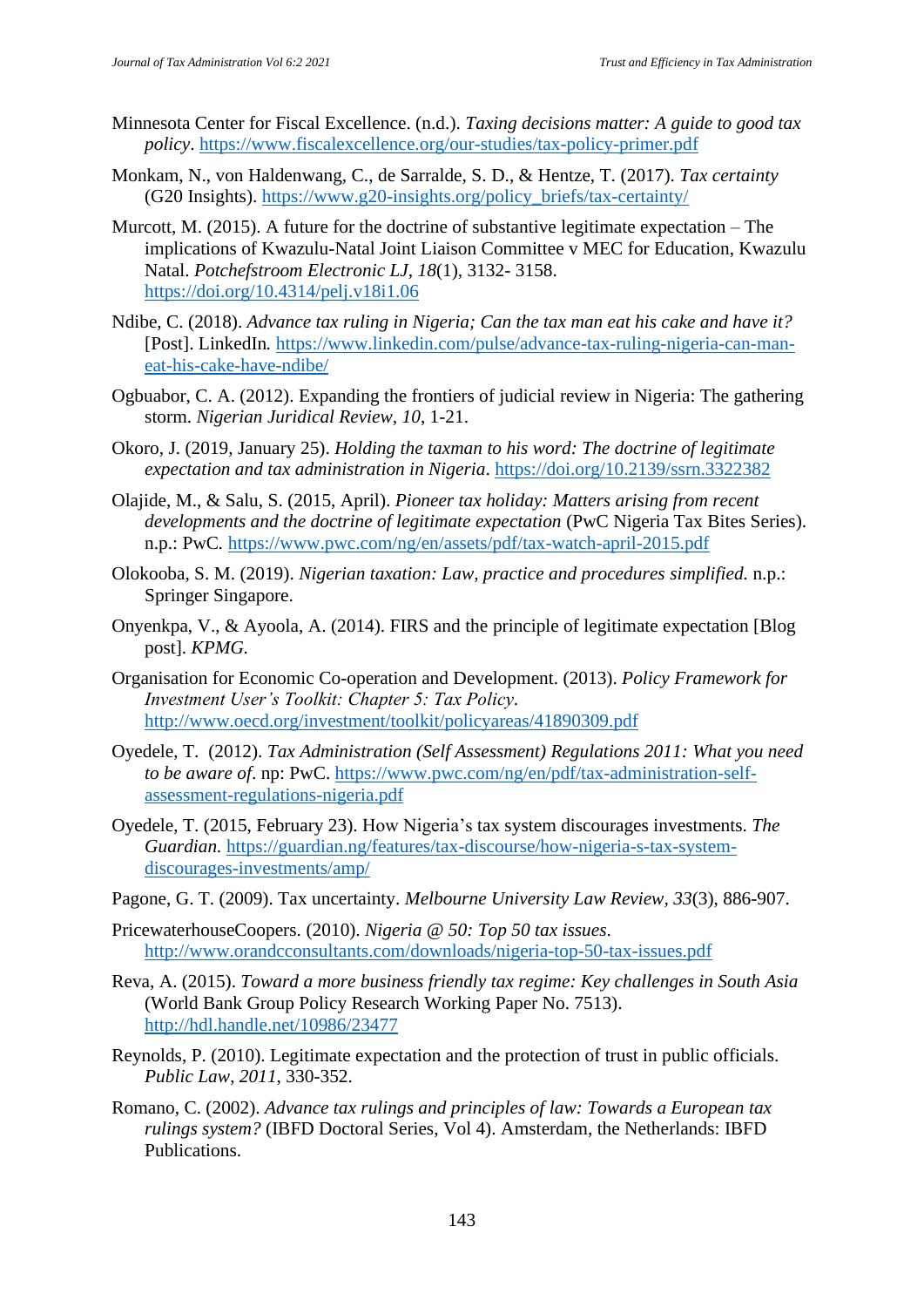- Minnesota Center for Fiscal Excellence. (n.d.). *Taxing decisions matter: A guide to good tax policy*. https://www.fiscalexcellence.org/our-studies/tax-policy-primer.pdf
- Monkam, N., von Haldenwang, C., de Sarralde, S. D., & Hentze, T. (2017). *Tax certainty* (G20 Insights). https://www.g20-insights.org/policy\_briefs/tax-certainty/
- Murcott, M. (2015). A future for the doctrine of substantive legitimate expectation The implications of Kwazulu-Natal Joint Liaison Committee v MEC for Education, Kwazulu Natal. *Potchefstroom Electronic LJ, 18*(1)*,* 3132- 3158. https://doi.org/10.4314/pelj.v18i1.06
- Ndibe, C. (2018). *Advance tax ruling in Nigeria; Can the tax man eat his cake and have it?* [Post]. LinkedIn*.* https://www.linkedin.com/pulse/advance-tax-ruling-nigeria-can-maneat-his-cake-have-ndibe/
- Ogbuabor, C. A. (2012). Expanding the frontiers of judicial review in Nigeria: The gathering storm. *Nigerian Juridical Review, 10*, 1-21.
- Okoro, J. (2019, January 25). *Holding the taxman to his word: The doctrine of legitimate expectation and tax administration in Nigeria*. https://doi.org/10.2139/ssrn.3322382
- Olajide, M., & Salu, S. (2015, April). *Pioneer tax holiday: Matters arising from recent developments and the doctrine of legitimate expectation* (PwC Nigeria Tax Bites Series). n.p.: PwC*.* https://www.pwc.com/ng/en/assets/pdf/tax-watch-april-2015.pdf
- Olokooba, S. M. (2019). *Nigerian taxation: Law, practice and procedures simplified.* n.p.: Springer Singapore.
- Onyenkpa, V., & Ayoola, A. (2014). FIRS and the principle of legitimate expectation [Blog post]. *KPMG.*
- Organisation for Economic Co-operation and Development. (2013). *Policy Framework for Investment User's Toolkit: Chapter 5: Tax Policy*. http://www.oecd.org/investment/toolkit/policyareas/41890309.pdf
- Oyedele, T. (2012). *Tax Administration (Self Assessment) Regulations 2011: What you need to be aware of*. np: PwC. https://www.pwc.com/ng/en/pdf/tax-administration-selfassessment-regulations-nigeria.pdf
- Oyedele, T. (2015, February 23). How Nigeria's tax system discourages investments. *The Guardian.* https://guardian.ng/features/tax-discourse/how-nigeria-s-tax-systemdiscourages-investments/amp/
- Pagone, G. T. (2009). Tax uncertainty. *Melbourne University Law Review, 33*(3), 886-907.
- PricewaterhouseCoopers. (2010). *Nigeria @ 50: Top 50 tax issues*. http://www.orandcconsultants.com/downloads/nigeria-top-50-tax-issues.pdf
- Reva, A. (2015). *Toward a more business friendly tax regime: Key challenges in South Asia* (World Bank Group Policy Research Working Paper No. 7513). http://hdl.handle.net/10986/23477
- Reynolds, P. (2010). Legitimate expectation and the protection of trust in public officials. *Public Law*, *2011*, 330-352.
- Romano, C. (2002). *Advance tax rulings and principles of law: Towards a European tax rulings system?* (IBFD Doctoral Series, Vol 4). Amsterdam, the Netherlands: IBFD Publications.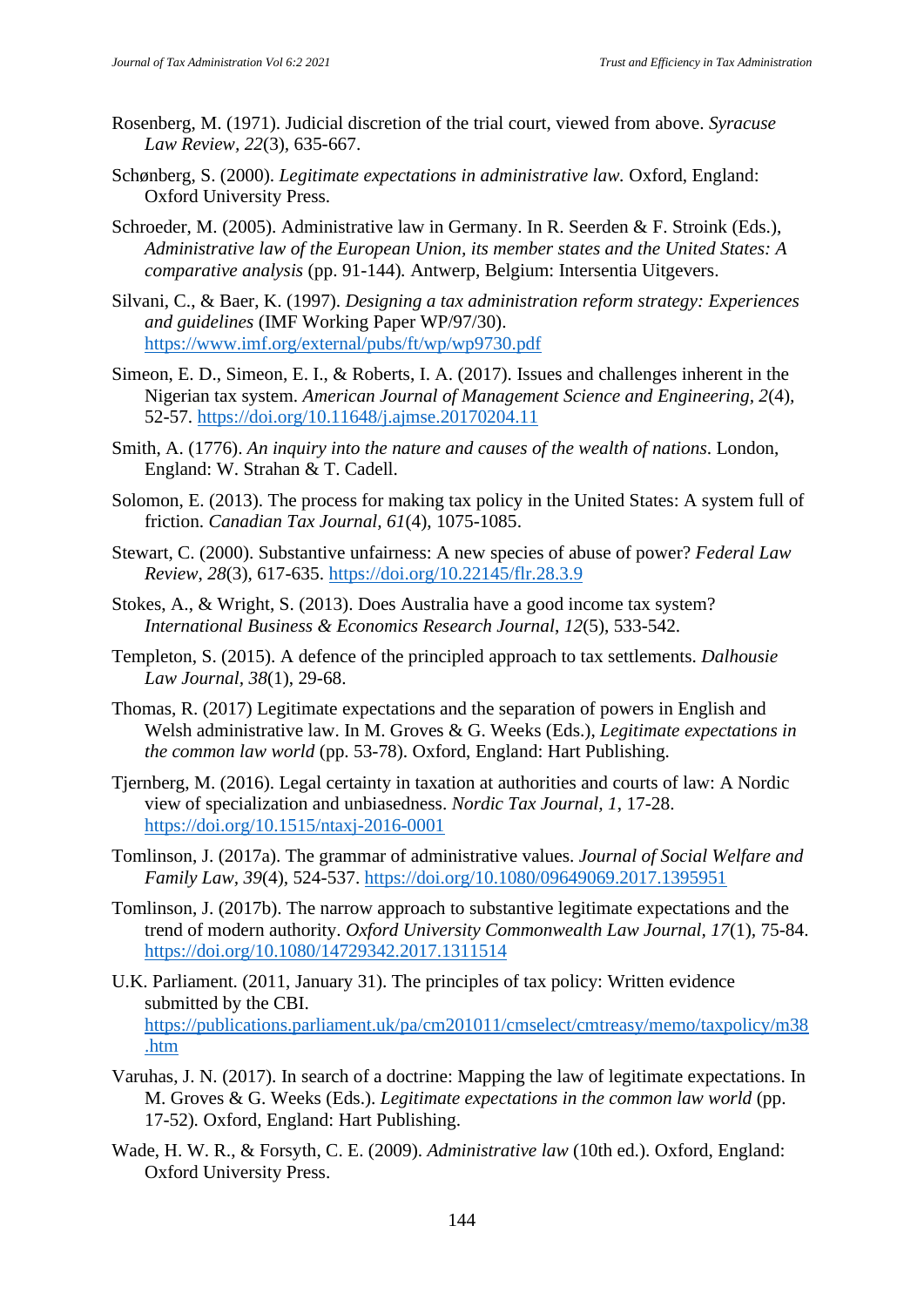- Rosenberg, M. (1971). Judicial discretion of the trial court, viewed from above. *Syracuse Law Review, 22*(3)*,* 635-667.
- Schønberg, S. (2000). *Legitimate expectations in administrative law.* Oxford, England: Oxford University Press.
- Schroeder, M. (2005). Administrative law in Germany. In R. Seerden & F. Stroink (Eds.), *Administrative law of the European Union, its member states and the United States: A comparative analysis* (pp. 91-144)*.* Antwerp, Belgium: Intersentia Uitgevers.
- Silvani, C., & Baer, K. (1997). *Designing a tax administration reform strategy: Experiences and guidelines* (IMF Working Paper WP/97/30). https://www.imf.org/external/pubs/ft/wp/wp9730.pdf
- Simeon, E. D., Simeon, E. I., & Roberts, I. A. (2017). Issues and challenges inherent in the Nigerian tax system. *American Journal of Management Science and Engineering, 2*(4)*,* 52-57. https://doi.org/10.11648/j.ajmse.20170204.11
- Smith, A. (1776). *An inquiry into the nature and causes of the wealth of nations*. London, England: W. Strahan & T. Cadell.
- Solomon, E. (2013). The process for making tax policy in the United States: A system full of friction. *Canadian Tax Journal, 61*(4), 1075-1085.
- Stewart, C. (2000). Substantive unfairness: A new species of abuse of power? *Federal Law Review*, *28*(3)*,* 617-635. https://doi.org/10.22145/flr.28.3.9
- Stokes, A., & Wright, S. (2013). Does Australia have a good income tax system? *International Business & Economics Research Journal*, *12*(5), 533-542.
- Templeton, S. (2015). A defence of the principled approach to tax settlements. *Dalhousie Law Journal, 38*(1), 29-68.
- Thomas, R. (2017) Legitimate expectations and the separation of powers in English and Welsh administrative law. In M. Groves & G. Weeks (Eds.), *Legitimate expectations in the common law world* (pp. 53-78). Oxford, England: Hart Publishing.
- Tjernberg, M. (2016). Legal certainty in taxation at authorities and courts of law: A Nordic view of specialization and unbiasedness. *Nordic Tax Journal, 1*, 17-28. https://doi.org/10.1515/ntaxj-2016-0001
- Tomlinson, J. (2017a). The grammar of administrative values. *Journal of Social Welfare and Family Law, 39*(4)*,* 524-537. https://doi.org/10.1080/09649069.2017.1395951
- Tomlinson, J. (2017b). The narrow approach to substantive legitimate expectations and the trend of modern authority. *Oxford University Commonwealth Law Journal, 17*(1)*,* 75-84. https://doi.org/10.1080/14729342.2017.1311514
- U.K. Parliament. (2011, January 31). The principles of tax policy: Written evidence submitted by the CBI. https://publications.parliament.uk/pa/cm201011/cmselect/cmtreasy/memo/taxpolicy/m38 .htm
- Varuhas, J. N. (2017). In search of a doctrine: Mapping the law of legitimate expectations. In M. Groves & G. Weeks (Eds.). *Legitimate expectations in the common law world* (pp. 17-52)*.* Oxford, England: Hart Publishing.
- Wade, H. W. R., & Forsyth, C. E. (2009). *Administrative law* (10th ed.). Oxford, England: Oxford University Press.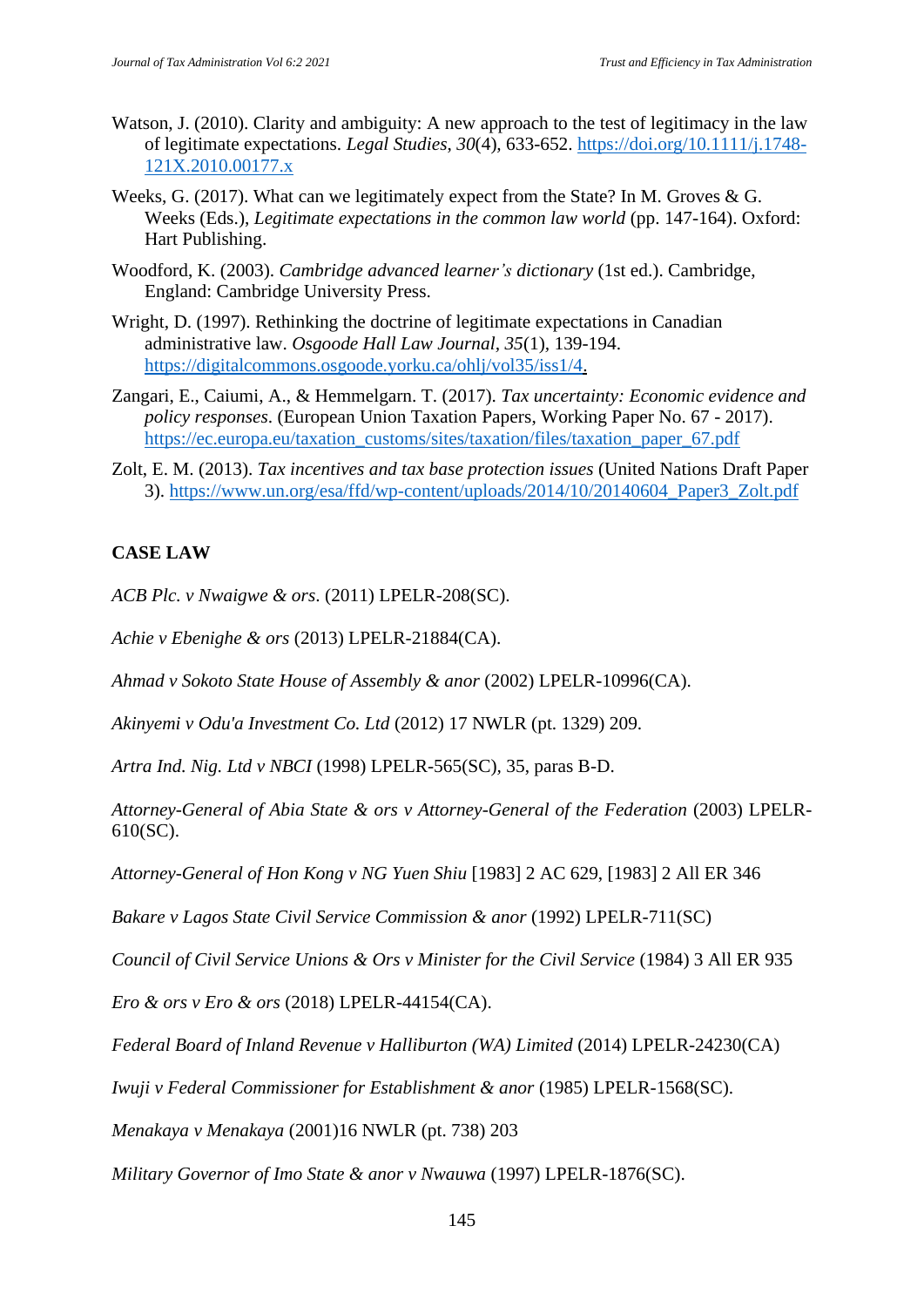- Watson, J. (2010). Clarity and ambiguity: A new approach to the test of legitimacy in the law of legitimate expectations. *Legal Studies*, *30*(4)*,* 633-652. https://doi.org/10.1111/j.1748- 121X.2010.00177.x
- Weeks, G. (2017). What can we legitimately expect from the State? In M. Groves  $\&$  G. Weeks (Eds.), *Legitimate expectations in the common law world* (pp. 147-164). Oxford: Hart Publishing.
- Woodford, K. (2003). *Cambridge advanced learner's dictionary* (1st ed.). Cambridge, England: Cambridge University Press.
- Wright, D. (1997). Rethinking the doctrine of legitimate expectations in Canadian administrative law. *Osgoode Hall Law Journal, 35*(1)*,* 139-194. https://digitalcommons.osgoode.yorku.ca/ohlj/vol35/iss1/4.
- Zangari, E., Caiumi, A., & Hemmelgarn. T. (2017). *Tax uncertainty: Economic evidence and policy responses*. (European Union Taxation Papers, Working Paper No. 67 - 2017). https://ec.europa.eu/taxation\_customs/sites/taxation/files/taxation\_paper\_67.pdf
- Zolt, E. M. (2013). *Tax incentives and tax base protection issues* (United Nations Draft Paper 3). https://www.un.org/esa/ffd/wp-content/uploads/2014/10/20140604\_Paper3\_Zolt.pdf

## **CASE LAW**

*ACB Plc. v Nwaigwe & ors*. (2011) LPELR-208(SC).

*Achie v Ebenighe & ors* (2013) LPELR-21884(CA).

*Ahmad v Sokoto State House of Assembly & anor* (2002) LPELR-10996(CA).

*Akinyemi v Odu'a Investment Co. Ltd* (2012) 17 NWLR (pt. 1329) 209.

*Artra Ind. Nig. Ltd v NBCI* (1998) LPELR-565(SC)*,* 35, paras B-D.

*Attorney-General of Abia State & ors v Attorney-General of the Federation* (2003) LPELR-610(SC).

*Attorney-General of Hon Kong v NG Yuen Shiu* [1983] 2 AC 629, [1983] 2 All ER 346

*Bakare v Lagos State Civil Service Commission & anor* (1992) LPELR-711(SC)

*Council of Civil Service Unions & Ors v Minister for the Civil Service* (1984) 3 All ER 935

*Ero & ors v Ero & ors* (2018) LPELR-44154(CA).

*Federal Board of Inland Revenue v Halliburton (WA) Limited* (2014) LPELR-24230(CA)

*Iwuji v Federal Commissioner for Establishment & anor* (1985) LPELR-1568(SC).

*Menakaya v Menakaya* (2001)16 NWLR (pt. 738) 203

*Military Governor of Imo State & anor v Nwauwa* (1997) LPELR-1876(SC).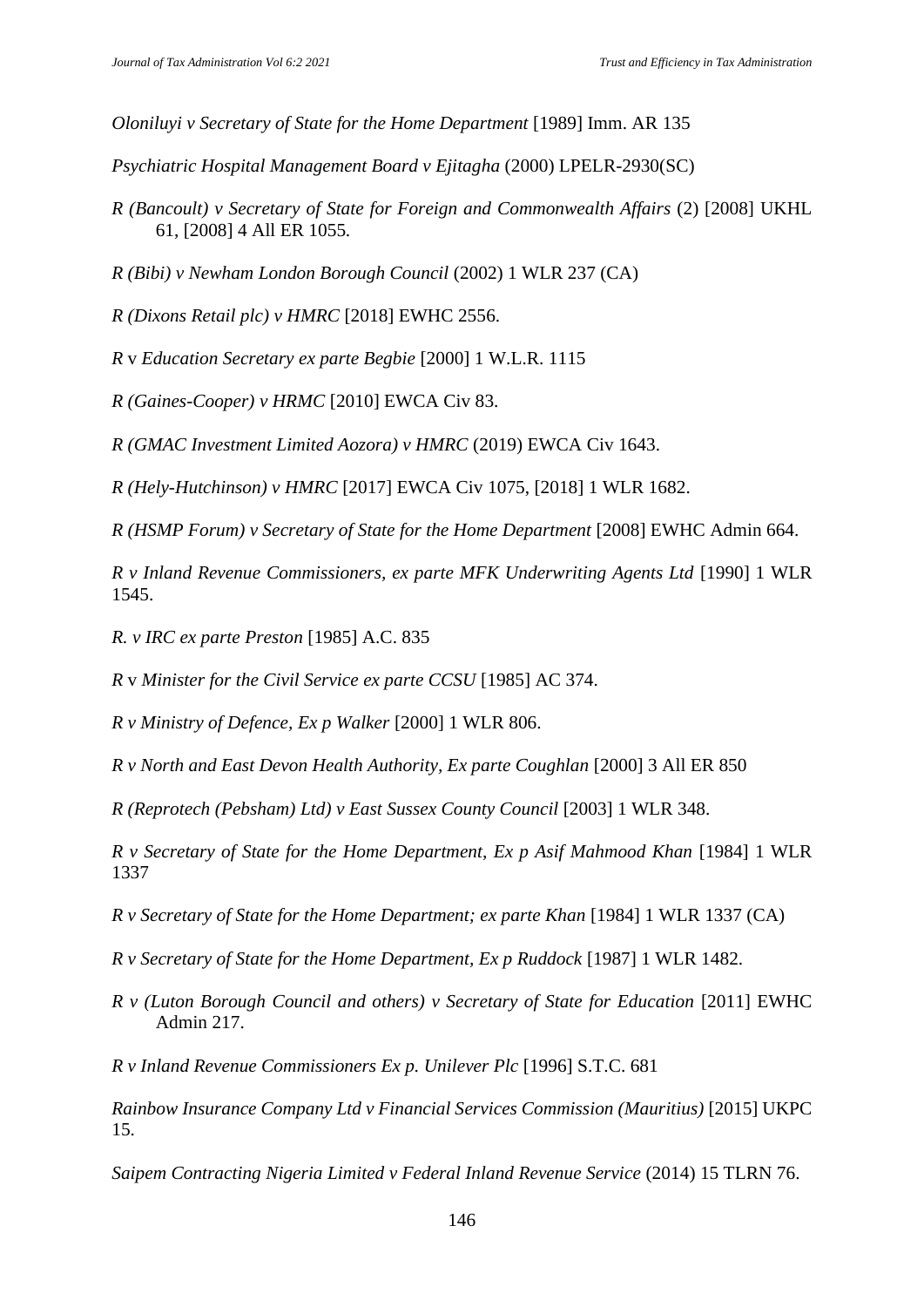*Oloniluyi v Secretary of State for the Home Department* [1989] Imm. AR 135

*Psychiatric Hospital Management Board v Ejitagha* (2000) LPELR-2930(SC)

- *R (Bancoult) v Secretary of State for Foreign and Commonwealth Affairs* (2) [2008] UKHL 61, [2008] 4 All ER 1055*.*
- *R (Bibi) v Newham London Borough Council* (2002) 1 WLR 237 (CA)
- *R (Dixons Retail plc) v HMRC* [2018] EWHC 2556.
- *R* v *Education Secretary ex parte Begbie* [2000] 1 W.L.R. 1115
- *R (Gaines-Cooper) v HRMC* [2010] EWCA Civ 83.
- *R (GMAC Investment Limited Aozora) v HMRC* (2019) EWCA Civ 1643.
- *R (Hely-Hutchinson) v HMRC* [2017] EWCA Civ 1075, [2018] 1 WLR 1682.
- *R (HSMP Forum) v Secretary of State for the Home Department* [2008] EWHC Admin 664.

*R v Inland Revenue Commissioners, ex parte MFK Underwriting Agents Ltd* [1990] 1 WLR 1545.

*R. v IRC ex parte Preston* [1985] A.C. 835

*R* v *Minister for the Civil Service ex parte CCSU* [1985] AC 374.

*R v Ministry of Defence, Ex p Walker* [2000] 1 WLR 806.

*R v North and East Devon Health Authority, Ex parte Coughlan* [2000] 3 All ER 850

*R (Reprotech (Pebsham) Ltd) v East Sussex County Council* [2003] 1 WLR 348.

*R v Secretary of State for the Home Department, Ex p Asif Mahmood Khan* [1984] 1 WLR 1337

*R v Secretary of State for the Home Department; ex parte Khan* [1984] 1 WLR 1337 (CA)

*R v Secretary of State for the Home Department, Ex p Ruddock* [1987] 1 WLR 1482.

- *R v (Luton Borough Council and others) v Secretary of State for Education* [2011] EWHC Admin 217.
- *R v Inland Revenue Commissioners Ex p. Unilever Plc* [1996] S.T.C. 681

*Rainbow Insurance Company Ltd v Financial Services Commission (Mauritius)* [2015] UKPC 15.

*Saipem Contracting Nigeria Limited v Federal Inland Revenue Service* (2014) 15 TLRN 76.